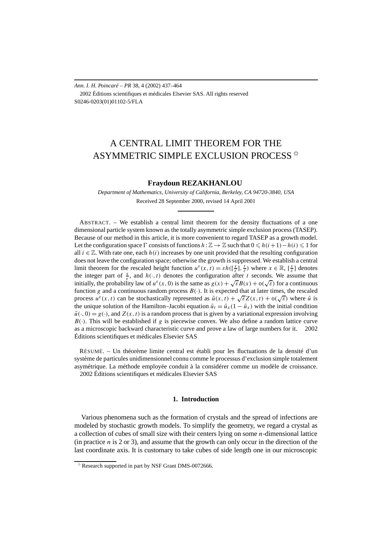*Ann. I. H. Poincaré – PR* 38, 4 (2002) 437–464 2002 Éditions scientifiques et médicales Elsevier SAS. All rights reserved S0246-0203(01)01102-5/FLA

# A CENTRAL LIMIT THEOREM FOR THE ASYMMETRIC SIMPLE EXCLUSION PROCESS<sup><sup>☆</sup></sup>

## **Fraydoun REZAKHANLOU**

*Department of Mathematics, University of California, Berkeley, CA 94720-3840, USA* Received 28 September 2000, revised 14 April 2001

ABSTRACT. – We establish a central limit theorem for the density fluctuations of a one dimensional particle system known as the totally asymmetric simple exclusion process (TASEP). Because of our method in this article, it is more convenient to regard TASEP as a growth model. Let the configuration space  $\Gamma$  consists of functions  $h : \mathbb{Z} \to \mathbb{Z}$  such that  $0 \leq h(i+1) - h(i) \leq 1$  for all  $i \in \mathbb{Z}$ . With rate one, each  $h(i)$  increases by one unit provided that the resulting configuration does not leave the configuration space; otherwise the growth is suppressed. We establish a central limit theorem for the rescaled height function  $u^{\varepsilon}(x,t) = \varepsilon h(\left[\frac{x}{\varepsilon}\right], \frac{t}{\varepsilon})$  where  $x \in \mathbb{R}$ ,  $\left[\frac{x}{\varepsilon}\right]$  denotes the integer part of  $\frac{x}{\varepsilon}$ , and  $h(\cdot,t)$  denotes the configuration after *t* seconds. We assume that initially, the probability law of  $u^{\varepsilon}(x, 0)$  is the same as  $g(x) + \sqrt{\varepsilon}B(x) + o(\sqrt{\varepsilon})$  for a continuous initially, the probability law of  $u^{\varepsilon}(x, 0)$  is the same as  $g(x) + \sqrt{\varepsilon}B(x) + o(\sqrt{\varepsilon})$  for a continuous function *g* and a continuous random process  $B(\cdot)$ . It is expected that at later times, the rescaled process  $u^{\varepsilon}(x,t)$  can be stochastically represented as  $\bar{u}(x,t) + \sqrt{\varepsilon}Z(x,t) + o(\sqrt{\varepsilon})$  where  $\bar{u}$  is the unique solution of the Hamilton–Jacobi equation  $\bar{u}_t = \bar{u}_x (1 - \bar{u}_x)$  with the initial condition  $\bar{u}(\cdot,0) = g(\cdot)$ , and  $Z(x,t)$  is a random process that is given by a variational expression involving  $B(\cdot)$ . This will be established if *g* is piecewise convex. We also define a random lattice curve as a microscopic backward characteristic curve and prove a law of large numbers for it.  $\odot$  2002 Éditions scientifiques et médicales Elsevier SAS

RÉSUMÉ. – Un théorème limite central est établi pour les fluctuations de la densité d'un système de particules unidimensionnel connu comme le processus d'exclusion simple totalement asymétrique. La méthode employée conduit à la considérer comme un modèle de croissance. 2002 Éditions scientifiques et médicales Elsevier SAS

## **1. Introduction**

Various phenomena such as the formation of crystals and the spread of infections are modeled by stochastic growth models. To simplify the geometry, we regard a crystal as a collection of cubes of small size with their centers lying on some *n*-dimensional lattice (in practice *n* is 2 or 3), and assume that the growth can only occur in the direction of the last coordinate axis. It is customary to take cubes of side length one in our microscopic

 $*$  Research supported in part by NSF Grant DMS-0072666.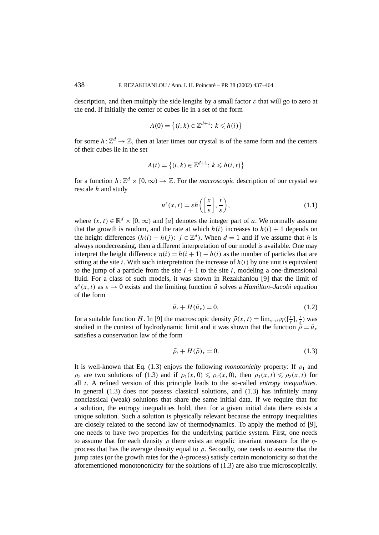description, and then multiply the side lengths by a small factor *ε* that will go to zero at the end. If initially the center of cubes lie in a set of the form

$$
A(0) = \{(i, k) \in \mathbb{Z}^{d+1}: k \le h(i)\}
$$

for some  $h : \mathbb{Z}^d \to \mathbb{Z}$ , then at later times our crystal is of the same form and the centers of their cubes lie in the set

$$
A(t) = \left\{ (i,k) \in \mathbb{Z}^{d+1} : k \leq h(i,t) \right\}
$$

for a function  $h: \mathbb{Z}^d \times [0, \infty) \to \mathbb{Z}$ . For the *macroscopic* description of our crystal we rescale *h* and study

$$
u^{\varepsilon}(x,t) = \varepsilon h\left(\left[\frac{x}{\varepsilon}\right], \frac{t}{\varepsilon}\right),\tag{1.1}
$$

where  $(x, t) \in \mathbb{R}^d \times [0, \infty)$  and [*a*] denotes the integer part of *a*. We normally assume that the growth is random, and the rate at which  $h(i)$  increases to  $h(i) + 1$  depends on the height differences  $(h(i) - h(j))$ :  $j \in \mathbb{Z}^d$ ). When  $d = 1$  and if we assume that *h* is always nondecreasing, then a different interpretation of our model is available. One may interpret the height difference  $\eta(i) = h(i + 1) - h(i)$  as the number of particles that are sitting at the site  $i$ . With such interpretation the increase of  $h(i)$  by one unit is equivalent to the jump of a particle from the site  $i + 1$  to the site  $i$ , modeling a one-dimensional fluid. For a class of such models, it was shown in Rezakhanlou [9] that the limit of  $u^{\varepsilon}(x, t)$  as  $\varepsilon \to 0$  exists and the limiting function  $\bar{u}$  solves a *Hamilton–Jacobi* equation of the form

$$
\bar{u}_t + H(\bar{u}_x) = 0,\tag{1.2}
$$

for a suitable function *H*. In [9] the macroscopic density  $\bar{\rho}(x, t) = \lim_{\varepsilon \to 0} \eta(\frac{x}{\varepsilon}, \frac{t}{\varepsilon})$  was studied in the context of hydrodynamic limit and it was shown that the function  $\bar{\rho} = \bar{u}_x$ satisfies a conservation law of the form

$$
\bar{\rho}_t + H(\bar{\rho})_x = 0. \tag{1.3}
$$

It is well-known that Eq. (1.3) enjoys the following *monotonicity* property: If  $\rho_1$  and *ρ*<sub>2</sub> are two solutions of (1.3) and if  $\rho_1(x, 0) \leq \rho_2(x, 0)$ , then  $\rho_1(x, t) \leq \rho_2(x, t)$  for all *t*. A refined version of this principle leads to the so-called *entropy inequalities.* In general (1.3) does not possess classical solutions, and (1.3) has infinitely many nonclassical (weak) solutions that share the same initial data. If we require that for a solution, the entropy inequalities hold, then for a given initial data there exists a unique solution. Such a solution is physically relevant because the entropy inequalities are closely related to the second law of thermodynamics. To apply the method of [9], one needs to have two properties for the underlying particle system. First, one needs to assume that for each density *ρ* there exists an ergodic invariant measure for the *η*process that has the average density equal to  $\rho$ . Secondly, one needs to assume that the jump rates (or the growth rates for the *h*-process) satisfy certain monotonicity so that the aforementioned monotononicity for the solutions of (1.3) are also true microscopically.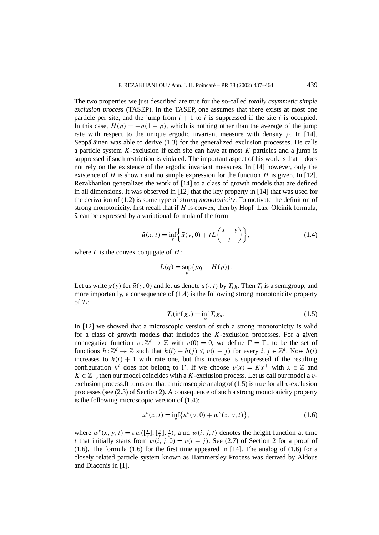The two properties we just described are true for the so-called *totally asymmetic simple exclusion process* (TASEP). In the TASEP, one assumes that there exists at most one particle per site, and the jump from  $i + 1$  to  $i$  is suppressed if the site  $i$  is occupied. In this case,  $H(\rho) = -\rho(1 - \rho)$ , which is nothing other than the average of the jump rate with respect to the unique ergodic invariant measure with density  $\rho$ . In [14], Seppäläinen was able to derive (1.3) for the generalized exclusion processes. He calls a particle system *K*-exclusion if each site can have at most *K* particles and a jump is suppressed if such restriction is violated. The important aspect of his work is that it does not rely on the existence of the ergodic invariant measures. In [14] however, only the existence of *H* is shown and no simple expression for the function *H* is given. In [12], Rezakhanlou generalizes the work of [14] to a class of growth models that are defined in all dimensions. It was observed in [12] that the key property in [14] that was used for the derivation of (1.2) is some type of *strong monotonicity*. To motivate the definition of strong monotonicity, first recall that if *H* is convex, then by Hopf–Lax–Oleinik formula,  $\bar{u}$  can be expressed by a variational formula of the form

$$
\bar{u}(x,t) = \inf_{y} \left\{ \bar{u}(y,0) + t \left( \frac{x-y}{t} \right) \right\},\tag{1.4}
$$

where *L* is the convex conjugate of *H*:

$$
L(q) = \sup_p (pq - H(p)).
$$

Let us write  $g(y)$  for  $\bar{u}(y, 0)$  and let us denote  $u(\cdot, t)$  by  $T_t g$ . Then  $T_t$  is a semigroup, and more importantly, a consequence of (1.4) is the following strong monotonicity property of  $T_t$ :

$$
T_t(\inf_{\alpha} g_{\alpha}) = \inf_{\alpha} T_t g_{\alpha}.
$$
 (1.5)

In [12] we showed that a microscopic version of such a strong monotonicity is valid for a class of growth models that includes the *K*-exclusion processes. For a given nonnegative function  $v : \mathbb{Z}^d \to \mathbb{Z}$  with  $v(0) = 0$ , we define  $\Gamma = \Gamma_v$  to be the set of functions  $h: \mathbb{Z}^d \to \mathbb{Z}$  such that  $h(i) - h(j) \leq v(i - j)$  for every  $i, j \in \mathbb{Z}^d$ . Now  $h(i)$ increases to  $h(i) + 1$  with rate one, but this increase is suppressed if the resulting configuration *h<sup>i</sup>* does not belong to  $\Gamma$ . If we choose  $v(x) = Kx^{+}$  with  $x \in \mathbb{Z}$  and  $K \in \mathbb{Z}^+$ , then our model coincides with a *K*-exclusion process. Let us call our model a *v*exclusion process.It turns out that a microscopic analog of (1.5) is true for all *v*-exclusion processes (see (2.3) of Section 2). A consequence of such a strong monotonicity property is the following microscopic version of (1.4):

$$
u^{\varepsilon}(x,t) = \inf_{y} \{ u^{\varepsilon}(y,0) + w^{\varepsilon}(x,y,t) \},
$$
 (1.6)

where  $w^{\varepsilon}(x, y, t) = \varepsilon w([\frac{x}{\varepsilon}], [\frac{y}{\varepsilon}], \frac{t}{\varepsilon})$ , and  $w(i, j, t)$  denotes the height function at time *t* that initially starts from  $w(i, j, 0) = v(i - j)$ . See (2.7) of Section 2 for a proof of  $(1.6)$ . The formula  $(1.6)$  for the first time appeared in [14]. The analog of  $(1.6)$  for a closely related particle system known as Hammersley Process was derived by Aldous and Diaconis in [1].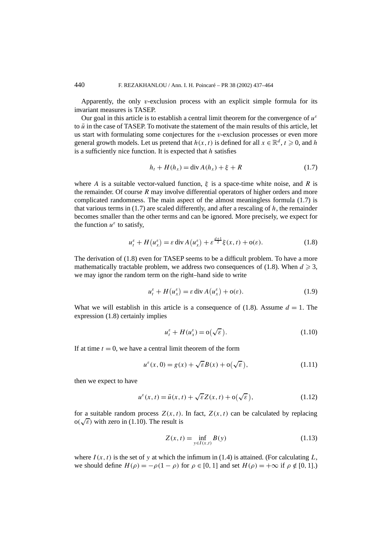Apparently, the only  $v$ -exclusion process with an explicit simple formula for its invariant measures is TASEP.

Our goal in this article is to establish a central limit theorem for the convergence of  $u^{\varepsilon}$ to  $\bar{u}$  in the case of TASEP. To motivate the statement of the main results of this article, let us start with formulating some conjectures for the *v*-exclusion processes or even more general growth models. Let us pretend that  $h(x, t)$  is defined for all  $x \in \mathbb{R}^d$ ,  $t \ge 0$ , and h is a sufficiently nice function. It is expected that *h* satisfies

$$
h_t + H(h_x) = \text{div}\,A(h_x) + \xi + R \tag{1.7}
$$

where *A* is a suitable vector-valued function,  $\xi$  is a space-time white noise, and *R* is the remainder. Of course *R* may involve differential operators of higher orders and more complicated randomness. The main aspect of the almost meaningless formula (1.7) is that various terms in (1.7) are scaled differently, and after a rescaling of *h*, the remainder becomes smaller than the other terms and can be ignored. More precisely, we expect for the function  $u^{\varepsilon}$  to satisfy,

$$
u_t^{\varepsilon} + H(u_x^{\varepsilon}) = \varepsilon \operatorname{div} A(u_x^{\varepsilon}) + \varepsilon^{\frac{d+1}{2}} \xi(x, t) + o(\varepsilon).
$$
 (1.8)

The derivation of (1.8) even for TASEP seems to be a difficult problem. To have a more mathematically tractable problem, we address two consequences of  $(1.8)$ . When  $d \ge 3$ , we may ignor the random term on the right–hand side to write

$$
u_t^{\varepsilon} + H(u_x^{\varepsilon}) = \varepsilon \operatorname{div} A(u_x^{\varepsilon}) + o(\varepsilon).
$$
 (1.9)

What we will establish in this article is a consequence of  $(1.8)$ . Assume  $d = 1$ . The expression (1.8) certainly implies

$$
u_t^{\varepsilon} + H(u_x^{\varepsilon}) = o(\sqrt{\varepsilon}).
$$
\n(1.10)

If at time  $t = 0$ , we have a central limit theorem of the form

$$
u^{\varepsilon}(x,0) = g(x) + \sqrt{\varepsilon}B(x) + o(\sqrt{\varepsilon}),
$$
\n(1.11)

then we expect to have

$$
u^{\varepsilon}(x,t) = \bar{u}(x,t) + \sqrt{\varepsilon} Z(x,t) + o(\sqrt{\varepsilon}),
$$
\n(1.12)

for a suitable random process  $Z(x, t)$ . In fact,  $Z(x, t)$  can be calculated by replacing for a suitable random process  $Z(x, t)$ .<br> $o(\sqrt{\varepsilon})$  with zero in (1.10). The result is

$$
Z(x, t) = \inf_{y \in I(x, t)} B(y)
$$
 (1.13)

where  $I(x, t)$  is the set of y at which the infimum in (1.4) is attained. (For calculating  $L$ , we should define  $H(\rho) = -\rho(1-\rho)$  for  $\rho \in [0, 1]$  and set  $H(\rho) = +\infty$  if  $\rho \notin [0, 1]$ .)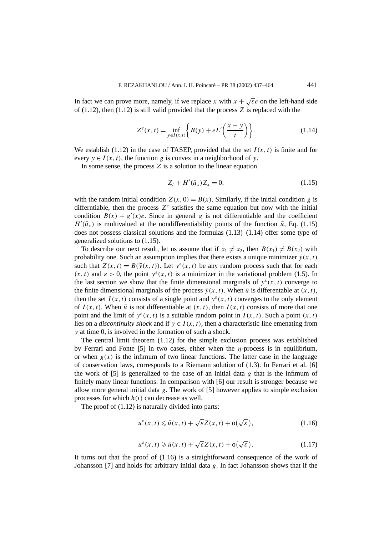In fact we can prove more, namely, if we replace *x* with  $x + \sqrt{\epsilon}e$  on the left-hand side of (1.12), then (1.12) is still valid provided that the process *Z* is replaced with the

$$
Z^{e}(x,t) = \inf_{y \in I(x,t)} \left\{ B(y) + eL'\left(\frac{x-y}{t}\right) \right\}.
$$
 (1.14)

We establish (1.12) in the case of TASEP, provided that the set  $I(x, t)$  is finite and for every  $y \in I(x, t)$ , the function *g* is convex in a neighborhood of *y*.

In some sense, the process *Z* is a solution to the linear equation

$$
Z_t + H'(\bar{u}_x) Z_x = 0, \tag{1.15}
$$

with the random initial condition  $Z(x, 0) = B(x)$ . Similarly, if the initial condition *g* is differntiable, then the process  $Z^e$  satisfies the same equation but now with the initial condition  $B(x) + g'(x)e$ . Since in general *g* is not differentiable and the coefficient  $H'(\bar{u}_x)$  is multivalued at the nondifferentiability points of the function  $\bar{u}$ , Eq. (1.15) does not possess classical solutions and the formulas  $(1.13)$ – $(1.14)$  offer some type of generalized solutions to (1.15).

To describe our next result, let us assume that if  $x_1 \neq x_2$ , then  $B(x_1) \neq B(x_2)$  with probability one. Such an assumption implies that there exists a unique minimizer  $\bar{y}(x, t)$ such that  $Z(x, t) = B(\bar{y}(x, t))$ . Let  $y^{\epsilon}(x, t)$  be any random process such that for each  $(x, t)$  and  $\varepsilon > 0$ , the point  $y^{\varepsilon}(x, t)$  is a minimizer in the variational problem (1.5). In the last section we show that the finite dimensional marginals of  $y^{\epsilon}(x, t)$  converge to the finite dimensional marginals of the process  $\bar{y}(x, t)$ . When  $\bar{u}$  is differentable at  $(x, t)$ , then the set  $I(x, t)$  consists of a single point and  $y^{\varepsilon}(x, t)$  converges to the only element of  $I(x, t)$ . When  $\bar{u}$  is not differentiable at  $(x, t)$ , then  $I(x, t)$  consists of more that one point and the limit of  $y^{\varepsilon}(x, t)$  is a suitable random point in  $I(x, t)$ . Such a point  $(x, t)$ lies on a *discontinuity shock* and if  $y \in I(x, t)$ , then a characteristic line emenating from *y* at time 0, is involved in the formation of such a shock.

The central limit theorem (1.12) for the simple exclusion process was established by Ferrari and Fonte [5] in two cases, either when the *η*-process is in equilibrium, or when  $g(x)$  is the infimum of two linear functions. The latter case in the language of conservation laws, corresponds to a Riemann solution of  $(1.3)$ . In Ferrari et al. [6] the work of  $[5]$  is generalized to the case of an initial data  $g$  that is the infimum of finitely many linear functions. In comparison with [6] our result is stronger because we allow more general initial data *g*. The work of [5] however applies to simple exclusion processes for which *h(i)* can decrease as well.

The proof of (1.12) is naturally divided into parts:

$$
u^{\varepsilon}(x,t) \leq \bar{u}(x,t) + \sqrt{\varepsilon}Z(x,t) + o(\sqrt{\varepsilon}),
$$
\n(1.16)

$$
u^{\varepsilon}(x,t) \geq \bar{u}(x,t) + \sqrt{\varepsilon} Z(x,t) + o(\sqrt{\varepsilon}).
$$
\n(1.17)

It turns out that the proof of (1.16) is a straightforward consequence of the work of Johansson [7] and holds for arbitrary initial data *g*. In fact Johansson shows that if the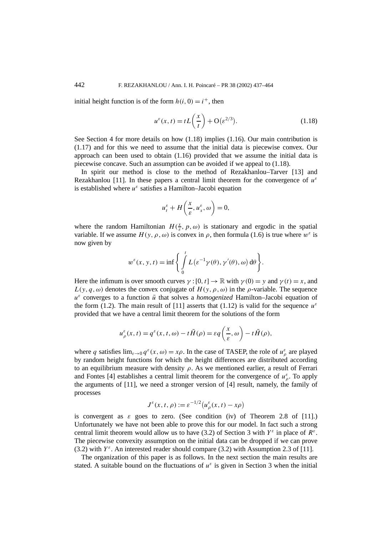initial height function is of the form  $h(i, 0) = i^{+}$ , then

$$
u^{\varepsilon}(x,t) = tL\left(\frac{x}{t}\right) + \mathcal{O}(\varepsilon^{2/3}).\tag{1.18}
$$

See Section 4 for more details on how (1.18) implies (1.16). Our main contribution is (1.17) and for this we need to assume that the initial data is piecewise convex. Our approach can been used to obtain (1.16) provided that we assume the initial data is piecewise concave. Such an assumption can be avoided if we appeal to (1.18).

In spirit our method is close to the method of Rezakhanlou–Tarver [13] and Rezakhanlou [11]. In these papers a central limit theorem for the convergence of  $u^{\varepsilon}$ is established where  $u^{\varepsilon}$  satisfies a Hamilton–Jacobi equation

$$
u_t^{\varepsilon} + H\left(\frac{x}{\varepsilon}, u_x^{\varepsilon}, \omega\right) = 0,
$$

where the random Hamiltonian  $H(\frac{x}{\varepsilon}, p, \omega)$  is stationary and ergodic in the spatial variable. If we assume  $H(y, \rho, \omega)$  is convex in  $\rho$ , then formula (1.6) is true where  $w^{\varepsilon}$  is now given by

$$
w^{\varepsilon}(x, y, t) = \inf \left\{ \int_{0}^{t} L(\varepsilon^{-1} \gamma(\theta), \gamma'(\theta), \omega) d\theta \right\}.
$$

Here the infimum is over smooth curves  $\gamma$  : [0, t]  $\rightarrow \mathbb{R}$  with  $\gamma$  (0) = *y* and  $\gamma$  (t) = *x*, and  $L(y, q, \omega)$  denotes the convex conjugate of  $H(y, \rho, \omega)$  in the  $\rho$ -variable. The sequence  $u^{\varepsilon}$  converges to a function  $\bar{u}$  that solves a *homogenized* Hamilton–Jacobi equation of the form (1.2). The main result of [11] asserts that (1.12) is valid for the sequence  $u^{\varepsilon}$ provided that we have a central limit theorem for the solutions of the form

$$
u_{\rho}^{\varepsilon}(x,t) = q^{\varepsilon}(x,t,\omega) - t\bar{H}(\rho) = \varepsilon q\left(\frac{x}{\varepsilon},\omega\right) - t\bar{H}(\rho),
$$

where *q* satisfies  $\lim_{\varepsilon \to 0} q^{\varepsilon}(x, \omega) = x\rho$ . In the case of TASEP, the role of  $u_{\rho}^{\varepsilon}$  are played by random height functions for which the height differences are distributed according to an equilibrium measure with density *ρ*. As we mentioned earlier, a result of Ferrari and Fontes [4] establishes a central limit theorem for the convergence of  $u_{\rho}^{\varepsilon}$ . To apply the arguments of [11], we need a stronger version of [4] result, namely, the family of processes

$$
J^{\varepsilon}(x,t,\rho) := \varepsilon^{-1/2} \big( u^{\varepsilon}_{\rho}(x,t) - x\rho \big)
$$

is convergent as  $\varepsilon$  goes to zero. (See condition (iv) of Theorem 2.8 of [11].) Unfortunately we have not been able to prove this for our model. In fact such a strong central limit theorem would allow us to have (3.2) of Section 3 with  $Y^{\varepsilon}$  in place of  $R^{\varepsilon}$ . The piecewise convexity assumption on the initial data can be dropped if we can prove (3.2) with  $Y^{\varepsilon}$ . An interested reader should compare (3.2) with Assumption 2.3 of [11].

The organization of this paper is as follows. In the next section the main results are stated. A suitable bound on the fluctuations of  $u^{\varepsilon}$  is given in Section 3 when the initial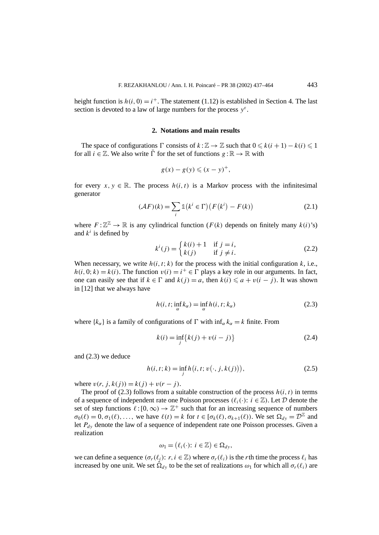height function is  $h(i, 0) = i^+$ . The statement (1.12) is established in Section 4. The last section is devoted to a law of large numbers for the process *y<sup>ε</sup>* .

## **2. Notations and main results**

The space of configurations  $\Gamma$  consists of  $k : \mathbb{Z} \to \mathbb{Z}$  such that  $0 \leq k(i + 1) - k(i) \leq 1$ for all  $i \in \mathbb{Z}$ . We also write  $\overline{\Gamma}$  for the set of functions  $g : \mathbb{R} \to \mathbb{R}$  with

$$
g(x) - g(y) \leqslant (x - y)^+,
$$

for every  $x, y \in \mathbb{R}$ . The process  $h(i, t)$  is a Markov process with the infinitesimal generator

$$
(\mathcal{A}F)(k) = \sum_{i} \mathbb{1}(k^{i} \in \Gamma) \left( F(k^{i}) - F(k) \right) \tag{2.1}
$$

where  $F: \mathbb{Z}^{\mathbb{Z}} \to \mathbb{R}$  is any cylindrical function  $(F(k))$  depends on finitely many  $k(i)$ 's) and  $k^i$  is defined by

$$
k^{i}(j) = \begin{cases} k(i) + 1 & \text{if } j = i, \\ k(j) & \text{if } j \neq i. \end{cases}
$$
 (2.2)

When necessary, we write  $h(i, t; k)$  for the process with the initial configuration  $k$ , i.e.,  $h(i, 0; k) = k(i)$ . The function  $v(i) = i^+ \in \Gamma$  plays a key role in our arguments. In fact, one can easily see that if  $k \in \Gamma$  and  $k(i) = a$ , then  $k(i) \le a + v(i - j)$ . It was shown in [12] that we always have

$$
h(i, t; \inf_{\alpha} k_{\alpha}) = \inf_{\alpha} h(i, t; k_{\alpha})
$$
\n(2.3)

where  $\{k_{\alpha}\}\$ is a family of configurations of  $\Gamma$  with  $\inf_{\alpha} k_{\alpha} = k$  finite. From

$$
k(i) = \inf_{j} \{k(j) + v(i - j)\}
$$
 (2.4)

and (2.3) we deduce

$$
h(i, t; k) = \inf_{j} h(i, t; v(\cdot, j, k(j))),
$$
\n(2.5)

where  $v(r, j, k(j)) = k(j) + v(r - j)$ .

The proof of (2.3) follows from a suitable construction of the process  $h(i, t)$  in terms of a sequence of independent rate one Poisson processes  $(\ell_i(\cdot))$ :  $i \in \mathbb{Z}$ ). Let D denote the set of step functions  $\ell$  :  $[0, \infty) \to \mathbb{Z}^+$  such that for an increasing sequence of numbers  $\sigma_0(\ell) = 0, \sigma_1(\ell), \ldots$ , we have  $\ell(t) = k$  for  $t \in [\sigma_k(\ell), \sigma_{k+1}(\ell))$ . We set  $\Omega_{d_v} = \mathcal{D}^{\mathbb{Z}}$  and let  $P_{dy}$  denote the law of a sequence of independent rate one Poisson processes. Given a realization

$$
\omega_1 = (\ell_i(\cdot): i \in \mathbb{Z}) \in \Omega_{dy},
$$

we can define a sequence  $(\sigma_r(\ell_i): r, i \in \mathbb{Z})$  where  $\sigma_r(\ell_i)$  is the *r*th time the process  $\ell_i$  has increased by one unit. We set  $\hat{\Omega}_{d\nu}$  to be the set of realizations  $\omega_1$  for which all  $\sigma_r(\ell_i)$  are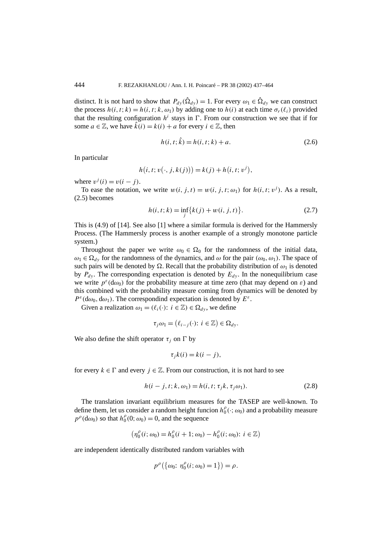distinct. It is not hard to show that  $P_{dy}(\hat{\Omega}_{dy}) = 1$ . For every  $\omega_1 \in \hat{\Omega}_{dy}$  we can construct the process  $h(i, t; k) = h(i, t; k, \omega_1)$  by adding one to  $h(i)$  at each time  $\sigma_r(\ell_i)$  provided that the resulting configuration  $h^i$  stays in  $\Gamma$ . From our construction we see that if for some  $a \in \mathbb{Z}$ , we have  $\hat{k}(i) = k(i) + a$  for every  $i \in \mathbb{Z}$ , then

$$
h(i, t; \hat{k}) = h(i, t; k) + a.
$$
\n(2.6)

In particular

$$
h(i, t; v(\cdot, j, k(j))) = k(j) + h(i, t; v^{j}),
$$

where  $v^j(i) = v(i - j)$ .

To ease the notation, we write  $w(i, j, t) = w(i, j, t; \omega_1)$  for  $h(i, t; v<sup>j</sup>)$ . As a result, (2.5) becomes

$$
h(i, t; k) = \inf_{j} \{k(j) + w(i, j, t)\}.
$$
 (2.7)

This is (4.9) of [14]. See also [1] where a similar formula is derived for the Hammersly Process. (The Hammersly process is another example of a strongly monotone particle system.)

Throughout the paper we write  $\omega_0 \in \Omega_0$  for the randomness of the initial data,  $\omega_1 \in \Omega_{d_y}$  for the randomness of the dynamics, and  $\omega$  for the pair  $(\omega_0, \omega_1)$ . The space of such pairs will be denoted by  $\Omega$ . Recall that the probability distribution of  $\omega_1$  is denoted by  $P_{dy}$ . The corresponding expectation is denoted by  $E_{dy}$ . In the nonequilibrium case we write  $p^{\varepsilon}(d\omega_0)$  for the probability measure at time zero (that may depend on  $\varepsilon$ ) and this combined with the probability measure coming from dynamics will be denoted by  $P^{\varepsilon}(d\omega_0, d\omega_1)$ . The correspondind expectation is denoted by  $E^{\varepsilon}$ .

Given a realization  $\omega_1 = (\ell_i(\cdot): i \in \mathbb{Z}) \in \Omega_{d\nu}$ , we define

$$
\tau_j \omega_1 = (\ell_{i-j}(\cdot): i \in \mathbb{Z}) \in \Omega_{dy}.
$$

We also define the shift operator  $\tau_i$  on  $\Gamma$  by

$$
\tau_j k(i) = k(i - j),
$$

for every  $k \in \Gamma$  and every  $j \in \mathbb{Z}$ . From our construction, it is not hard to see

$$
h(i - j, t; k, \omega_1) = h(i, t; \tau_j k, \tau_j \omega_1).
$$
 (2.8)

The translation invariant equilibrium measures for the TASEP are well-known. To define them, let us consider a random height funcion  $h_0^{\rho}(\cdot; \omega_0)$  and a probability measure  $p^{\rho}(\text{d}\omega_0)$  so that  $h_0^{\rho}(0; \omega_0) = 0$ , and the sequence

$$
\left(\eta_0^{\rho}(i;\omega_0) = h_0^{\rho}(i+1;\omega_0) - h_0^{\rho}(i;\omega_0); i \in \mathbb{Z}\right)
$$

are independent identically distributed random variables with

$$
p^{\rho}(\{\omega_0: \eta_0^{\rho}(i; \omega_0)=1\})=\rho.
$$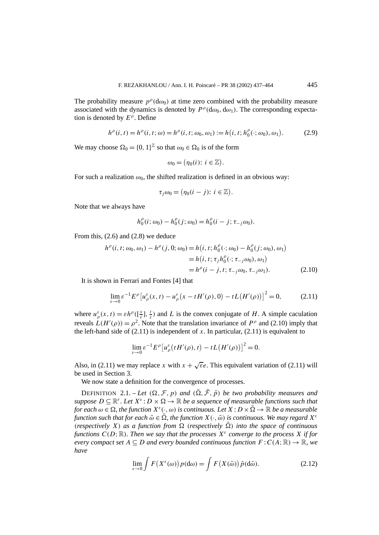The probability measure  $p^{\rho}(d\omega_0)$  at time zero combined with the probability measure associated with the dynamics is denoted by  $P^{\rho}(d\omega_0, d\omega_1)$ . The corresponding expectation is denoted by *E<sup>ρ</sup>* . Define

$$
h^{\rho}(i,t) = h^{\rho}(i,t;\omega) = h^{\rho}(i,t;\omega_0,\omega_1) := h(i,t;h_0^{\rho}(\cdot;\omega_0),\omega_1).
$$
 (2.9)

We may choose  $\Omega_0 = \{0, 1\}^{\mathbb{Z}}$  so that  $\omega_0 \in \Omega_0$  is of the form

$$
\omega_0 = \big(\eta_0(i)\colon i \in \mathbb{Z}\big).
$$

For such a realization  $\omega_0$ , the shifted realization is defined in an obvious way:

$$
\tau_j \omega_0 = \big(\eta_0(i-j)\colon i \in \mathbb{Z}\big).
$$

Note that we always have

$$
h_0^{\rho}(i; \omega_0) - h_0^{\rho}(j; \omega_0) = h_0^{\rho}(i - j; \tau_{-j} \omega_0).
$$

From this, (2.6) and (2.8) we deduce

$$
h^{\rho}(i, t; \omega_0, \omega_1) - h^{\rho}(j, 0; \omega_0) = h(i, t; h^{\rho}_0(\cdot; \omega_0) - h^{\rho}_0(j; \omega_0), \omega_1)
$$
  
=  $h(i, t; \tau_j h^{\rho}_0(\cdot; \tau_{-j}\omega_0), \omega_1)$   
=  $h^{\rho}(i - j, t; \tau_{-j}\omega_0, \tau_{-j}\omega_1).$  (2.10)

It is shown in Ferrari and Fontes [4] that

$$
\lim_{\varepsilon \to 0} \varepsilon^{-1} E^{\rho} \left[ u_{\rho}^{\varepsilon}(x, t) - u_{\rho}^{\varepsilon}(x - t H'(\rho), 0) - t L \left( H'(\rho) \right) \right]^2 = 0, \tag{2.11}
$$

where  $u^{\varepsilon}_{\rho}(x,t) = \varepsilon h^{\rho}(\left[\frac{x}{\varepsilon}\right], \frac{t}{\varepsilon})$  and *L* is the convex conjugate of *H*. A simple caculation reveals  $L(H'(\rho)) = \rho^2$ . Note that the translation invariance of  $P^{\rho}$  and (2.10) imply that the left-hand side of  $(2.11)$  is independent of *x*. In particular,  $(2.11)$  is equivalent to

$$
\lim_{\varepsilon \to 0} \varepsilon^{-1} E^{\rho} \big[ u_{\rho}^{\varepsilon} \big( t H'(\rho), t \big) - t L \big( H'(\rho) \big) \big]^2 = 0.
$$

Also, in (2.11) we may replace *x* with  $x + \sqrt{\epsilon}e$ . This equivalent variation of (2.11) will be used in Section 3.

We now state a definition for the convergence of processes.

DEFINITION 2.1. – Let  $(\Omega, \mathcal{F}, p)$  and  $(\overline{\Omega}, \overline{\mathcal{F}}, \overline{p})$  be two probability measures and *suppose*  $D \subseteq \mathbb{R}^r$ . Let  $X^{\varepsilon}$  :  $D \times \Omega \to \mathbb{R}$  be a sequence of measurable functions such that *for each*  $\omega \in \Omega$ , the function  $X^{\varepsilon}(\cdot, \omega)$  is continuous. Let  $X: D \times \overline{\Omega} \to \mathbb{R}$  be a measurable *function such that for each*  $\bar{\omega} \in \bar{\Omega}$ , the function  $X(\cdot, \bar{\omega})$  is continuous. We may regard  $X^{\varepsilon}$ *(respectively X) as a function from*  $\Omega$  *(respectively*  $\overline{\Omega}$ *) into the space of continuous functions*  $C(D;\mathbb{R})$ *. Then we say that the processes*  $X^{\varepsilon}$  *converge to the process* X *if for every compact set*  $A \subseteq D$  *and every bounded continuous function*  $F: C(A; \mathbb{R}) \to \mathbb{R}$ *, we have*

$$
\lim_{\varepsilon \to 0} \int F(X^{\varepsilon}(\omega)) p(\mathrm{d}\omega) = \int F(X(\bar{\omega})) \bar{p}(\mathrm{d}\bar{\omega}). \tag{2.12}
$$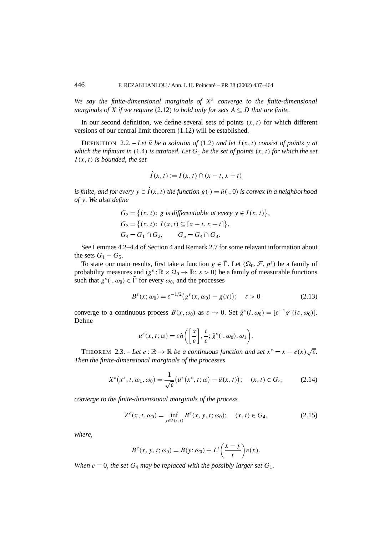*We say the finite-dimensional marginals of X<sup>ε</sup> converge to the finite-dimensional marginals of X if we require* (2.12) *to hold only for sets*  $A \subseteq D$  *that are finite.* 

In our second definition, we define several sets of points  $(x, t)$  for which different versions of our central limit theorem (1.12) will be established.

DEFINITION 2.2. – Let  $\bar{u}$  be a solution of (1.2) and let  $I(x, t)$  consist of points  $y$  at *which the infimum in*  $(1.4)$  *is attained. Let*  $G_1$  *be the set of points*  $(x, t)$  *for which the set I (x, t) is bounded, the set*

$$
\hat{I}(x,t) := I(x,t) \cap (x-t, x+t)
$$

*is finite, and for every*  $y \in \hat{I}(x, t)$  *the function*  $g(\cdot) = \bar{u}(\cdot, 0)$  *is convex in a neighborhood of y. We also define*

$$
G_2 = \{(x, t): g \text{ is differentiable at every } y \in I(x, t)\},
$$
  
\n
$$
G_3 = \{(x, t): I(x, t) \subseteq [x - t, x + t]\},
$$
  
\n
$$
G_4 = G_1 \cap G_2, \qquad G_5 = G_4 \cap G_3.
$$

See Lemmas 4.2–4.4 of Section 4 and Remark 2.7 for some relavant information about the sets  $G_1 - G_5$ .

To state our main results, first take a function  $g \in \overline{\Gamma}$ . Let  $(\Omega_0, \mathcal{F}, p^{\varepsilon})$  be a family of probability measures and  $(g^{\varepsilon} : \mathbb{R} \times \Omega_0 \to \mathbb{R} : \varepsilon > 0)$  be a family of measurable functions such that  $g^{\varepsilon}(\cdot, \omega_0) \in \overline{\Gamma}$  for every  $\omega_0$ , and the processes

$$
B^{\varepsilon}(x; \omega_0) = \varepsilon^{-1/2} (g^{\varepsilon}(x, \omega_0) - g(x)); \quad \varepsilon > 0
$$
 (2.13)

converge to a continuous process  $B(x, \omega_0)$  as  $\varepsilon \to 0$ . Set  $\hat{g}^{\varepsilon}(i, \omega_0) = [\varepsilon^{-1} g^{\varepsilon}(i\varepsilon, \omega_0)].$ Define

$$
u^{\varepsilon}(x,t;\omega)=\varepsilon h\bigg(\bigg[\frac{x}{\varepsilon}\bigg],\frac{t}{\varepsilon};\hat{g}^{\varepsilon}(\cdot,\omega_0),\omega_1\bigg).
$$

THEOREM 2.3. – Let  $e : \mathbb{R} \to \mathbb{R}$  be a continuous function and set  $x^{\varepsilon} = x + e(x)\sqrt{\varepsilon}$ . *Then the finite-dimensional marginals of the processes*

$$
X^{\varepsilon}\big(x^{\varepsilon},t,\omega_{1},\omega_{0}\big) = \frac{1}{\sqrt{\varepsilon}}\big(u^{\varepsilon}\big(x^{\varepsilon},t;\omega\big) - \bar{u}(x,t)\big); \quad (x,t) \in G_{4},\tag{2.14}
$$

*converge to the finite-dimensional marginals of the process*

$$
Z^{e}(x, t, \omega_0) = \inf_{y \in I(x, t)} B^{e}(x, y, t; \omega_0); \quad (x, t) \in G_4,
$$
 (2.15)

*where,*

$$
Be(x, y, t; \omega_0) = B(y; \omega_0) + L'\left(\frac{x-y}{t}\right)e(x).
$$

*When*  $e \equiv 0$ , the set  $G_4$  *may be replaced with the possibly larger set*  $G_1$ .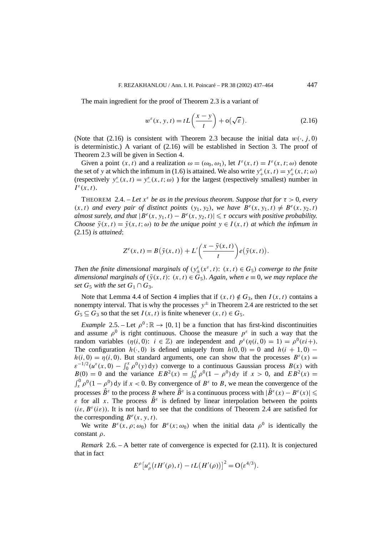The main ingredient for the proof of Theorem 2.3 is a variant of

$$
w^{\varepsilon}(x, y, t) = tL\left(\frac{x-y}{t}\right) + o(\sqrt{\varepsilon}).
$$
\n(2.16)

(Note that (2.16) is consistent with Theorem 2.3 because the initial data  $w(\cdot, j, 0)$ is deterministic.) A variant of  $(2.16)$  will be established in Section 3. The proof of Theorem 2.3 will be given in Section 4.

Given a point  $(x, t)$  and a realization  $\omega = (\omega_0, \omega_1)$ , let  $I^{\varepsilon}(x, t) = I^{\varepsilon}(x, t; \omega)$  denote the set of *y* at which the infimum in (1.6) is attained. We also write  $y^{\varepsilon}_+(x, t) = y^{\varepsilon}_+(x, t; \omega)$ (respectively  $y^{\varepsilon}(x, t) = y^{\varepsilon}(x, t; \omega)$ ) for the largest (respectively smallest) number in  $I^{\varepsilon}(x,t)$ .

THEOREM 2.4. – Let  $x^{\varepsilon}$  be as in the previous theorem. Suppose that for  $\tau > 0$ , every  $(x, t)$  *and every pair of distinct points*  $(y_1, y_2)$ *, we have*  $B^e(x, y_1, t) \neq B^e(x, y_2, t)$ *almost surely, and that*  $|B^e(x, y_1, t) - B^e(x, y_2, t)| \le \tau$  *occurs with positive probability. Choose*  $\bar{y}(x, t) = \bar{y}(x, t; \omega)$  *to be the unique point*  $y \in I(x, t)$  *at which the infimum in* (2.15) *is attained*;

$$
Z^{e}(x,t) = B(\bar{y}(x,t)) + L'\left(\frac{x-\bar{y}(x,t)}{t}\right) e(\bar{y}(x,t)).
$$

*Then the finite dimensional marginals of*  $(y_{\pm}^{\varepsilon}(x^{\varepsilon},t))$ :  $(x,t) \in G_5$ *) converge to the finite dimensional marginals of*  $(\bar{y}(x, t): (x, t) \in G_5)$ *. Again, when*  $e \equiv 0$ *, we may replace the set*  $G_5$  *with the set*  $G_1 \cap G_3$ *.* 

Note that Lemma 4.4 of Section 4 implies that if  $(x, t) \notin G_3$ , then *I* $(x, t)$  contains a nonempty interval. That is why the processes  $y^{\pm}$  in Theorem 2.4 are restricted to the set  $G_5 \subseteq G_3$  so that the set  $I(x, t)$  is finite whenever  $(x, t) \in G_5$ .

*Example* 2.5. – Let  $\rho^0$ :  $\mathbb{R} \to [0, 1]$  be a function that has first-kind discontinuities and assume  $\rho^0$  is right continuous. Choose the measure  $p^{\varepsilon}$  in such a way that the random variables  $(\eta(i, 0))$ :  $i \in \mathbb{Z}$ ) are independent and  $p^{\varepsilon}(\eta(i, 0) = 1) = p^0(\varepsilon i + 1)$ . The configuration  $h(\cdot, 0)$  is defined uniquely from  $h(0, 0) = 0$  and  $h(i + 1, 0)$  −  $h(i, 0) = \eta(i, 0)$ . But standard arguments, one can show that the processes  $B^{\varepsilon}(x) =$  $\varepsilon^{-1/2}(u^{\varepsilon}(x,0) - \int_0^x \rho^0(y) dy)$  converge to a continuous Gaussian process *B(x)* with  $B(0) = 0$  and the variance  $EB^2(x) = \int_0^x \rho^0 (1 - \rho^0) dy$  if  $x > 0$ , and  $EB^2(x) = 0$  $\int_x^0 \rho^0 (1 - \rho^0) dy$  if  $x < 0$ . By convergence of  $B^{\varepsilon}$  to *B*, we mean the convergence of the processes  $\hat{B}^{\varepsilon}$  to the process *B* where  $\hat{B}^{\varepsilon}$  is a continuous process with  $|\hat{B}^{\varepsilon}(x) - B^{\varepsilon}(x)| \le$ *ε* for all *x*. The process  $\hat{B}^{\varepsilon}$  is defined by linear interpolation between the points  $(ie, B<sup>\epsilon</sup>(i\varepsilon))$ . It is not hard to see that the conditions of Theorem 2.4 are satisfied for the corresponding  $B^e(x, y, t)$ .

We write  $B^{\varepsilon}(x, \rho; \omega_0)$  for  $B^{\varepsilon}(x; \omega_0)$  when the initial data  $\rho^0$  is identically the constant *ρ*.

*Remark* 2.6. – A better rate of convergence is expected for (2.11). It is conjectured that in fact

$$
E^{\rho}\left[u_{\rho}^{\varepsilon}(tH'(\rho),t)-tL\big(H'(\rho)\big)\right]^{2}=\mathrm{O}(\varepsilon^{4/3}).
$$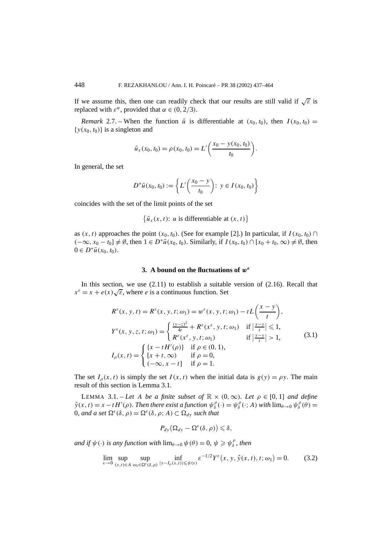If we assume this, then one can readily check that our results are still valid if  $\sqrt{\epsilon}$  is replaced with  $\varepsilon^{\alpha}$ , provided that  $\alpha \in (0, 2/3)$ .

*Remark* 2.7. – When the function  $\bar{u}$  is differentiable at  $(x_0, t_0)$ , then  $I(x_0, t_0)$  =  $\{y(x_0, t_0)\}\)$  is a singleton and

$$
\bar{u}_x(x_0, t_0) = \rho(x_0, t_0) = L'\bigg(\frac{x_0 - y(x_0, t_0)}{t_0}\bigg).
$$

In general, the set

$$
D^*\bar{u}(x_0, t_0) := \left\{ L'\left(\frac{x_0 - y}{t_0}\right): y \in I(x_0, t_0) \right\}
$$

coincides with the set of the limit points of the set

$$
\{\bar{u}_x(x,t): u \text{ is differentiable at } (x,t)\}
$$

as  $(x, t)$  approaches the point  $(x_0, t_0)$ . (See for example [2].) In particular, if  $I(x_0, t_0)$  ∩  $(-\infty, x_0 - t_0]$  ≠ Ø, then  $1 \in D^* \bar{u}(x_0, t_0)$ . Similarly, if  $I(x_0, t_0) \cap [x_0 + t_0, \infty) \neq \emptyset$ , then  $0 \in D^* \bar{u}(x_0, t_0)$ .

#### **3. A bound on the fluctuations of** *w<sup>ε</sup>*

In this section, we use  $(2.11)$  to establish a suitable version of  $(2.16)$ . Recall that  $x^{\varepsilon} = x + e(x)\sqrt{\varepsilon}$ , where *e* is a continuous function. Set

$$
R^{\varepsilon}(x, y, t) = R^{\varepsilon}(x, y, t; \omega_{1}) = w^{\varepsilon}(x, y, t; \omega_{1}) - tL\left(\frac{x - y}{t}\right),
$$
  
\n
$$
Y^{\varepsilon}(x, y, z, t; \omega_{1}) = \begin{cases} \frac{(y - z)^{2}}{4t} + R^{\varepsilon}(x^{\varepsilon}, y, t; \omega_{1}) & \text{if } \left|\frac{x - y}{t}\right| \leq 1, \\ R^{\varepsilon}(x^{\varepsilon}, y, t; \omega_{1}) & \text{if } \left|\frac{x - y}{t}\right| > 1, \end{cases}
$$
  
\n
$$
I_{\rho}(x, t) = \begin{cases} \{x - tH'(\rho)\} & \text{if } \rho \in (0, 1), \\ [x + t, \infty) & \text{if } \rho = 0, \\ (-\infty, x - t] & \text{if } \rho = 1. \end{cases}
$$
  
\n(3.1)

The set  $I_0(x, t)$  is simply the set  $I(x, t)$  when the initial data is  $g(y) = \rho y$ . The main result of this section is Lemma 3.1.

LEMMA 3.1. – Let *A* be a finite subset of  $\mathbb{R} \times (0, \infty)$ *. Let*  $\rho \in [0, 1]$  and define  $\hat{y}(x,t) = x - tH'(\rho)$ . Then there exist a function  $\psi_{\delta}^{\rho}(\cdot) = \psi_{\delta}^{\rho}(\cdot; A)$  with  $\lim_{\theta \to 0} \psi_{\delta}^{\rho}(\theta) =$ 0*, and a set*  $\Omega^{\varepsilon}(\delta, \rho) = \Omega^{\varepsilon}(\delta, \rho; A) \subset \Omega_{d_v}$  *such that* 

$$
P_{dy}(\Omega_{dy}-\Omega^{\varepsilon}(\delta,\rho))\leqslant\delta,
$$

*and if*  $\psi(\cdot)$  *is any function with*  $\lim_{\theta \to 0} \psi(\theta) = 0$ ,  $\psi \geq \psi_{\delta}^{\rho}$ , then

$$
\lim_{\varepsilon \to 0} \sup_{(x,t) \in A} \sup_{\omega_1 \in \Omega^{\varepsilon}(\delta,\rho)} \inf_{|y - I_{\rho}(x,t)| \leq \psi(\varepsilon)} \varepsilon^{-1/2} Y^{\varepsilon}(x,y,\hat{y}(x,t),t;\omega_1) = 0. \tag{3.2}
$$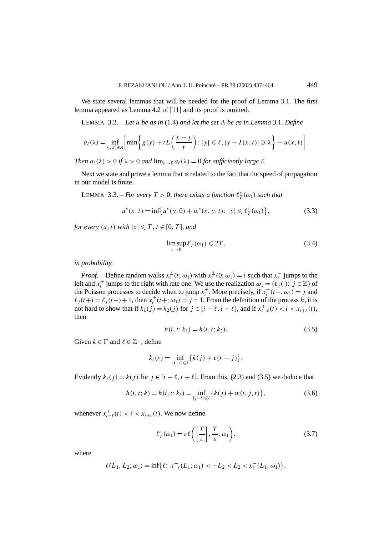We state several lemmas that will be needed for the proof of Lemma 3.1. The first lemma appeared as Lemma 4.2 of [11] and its proof is omitted.

LEMMA  $3.2.$  – Let  $\bar{u}$  be as in (1.4) and let the set A be as in Lemma 3.1. Define

$$
a_{\ell}(\lambda) = \inf_{(x,t)\in A} \left[ \min \left\{ g(y) + tL\left(\frac{x-y}{t}\right): |y| \leq \ell, |y - I(x,t)| \geq \lambda \right\} - \bar{u}(x,t) \right].
$$

*Then*  $a_\ell(\lambda) > 0$  *if*  $\lambda > 0$  *and*  $\lim_{\lambda \to 0} a_\ell(\lambda) = 0$  *for sufficiently large*  $\ell$ *.* 

Next we state and prove a lemma that is related to the fact that the speed of propagation in our model is finite.

LEMMA 3.3. – *For every*  $T > 0$ , there exists a function  $\ell^{\varepsilon}_T(\omega_1)$  such that

$$
u^{\varepsilon}(x,t) = \inf \{ u^{\varepsilon}(y,0) + w^{\varepsilon}(x,y,t) : |y| \leq \ell_T^{\varepsilon}(\omega_1) \},
$$
 (3.3)

*for every*  $(x, t)$  *with*  $|x| \le T$ *,*  $t \in [0, T]$ *, and* 

$$
\limsup_{\varepsilon \to 0} \ell_T^{\varepsilon}(\omega_1) \leqslant 2T,\tag{3.4}
$$

*in probability.*

*Proof.* – Define random walks  $x_i^{\pm}(t; \omega_1)$  with  $x_i^{\pm}(0; \omega_1) = i$  such that  $x_i^-$  jumps to the left and  $x_i^+$  jumps to the right with rate one. We use the realization  $\omega_1 = (\ell_j(\cdot): j \in \mathbb{Z})$  of the Poisson processes to decide when to jump  $x_i^{\pm}$ . More precisely, if  $x_i^{\pm}(t-, \omega_1) = j$  and  $\ell_j(t+) = \ell_j(t-) + 1$ , then  $x_i^{\pm}(t+; \omega_1) = j \pm 1$ . From the definition of the process *h*, it is not hard to show that if  $k_1(j) = k_2(j)$  for  $j \in [i - \ell, i + \ell]$ , and if  $x_{i-\ell}^+(t) < i < x_{i+\ell}^-(t)$ , then

$$
h(i, t; k_1) = h(i, t; k_2).
$$
\n(3.5)

Given  $k \in \Gamma$  and  $\ell \in \mathbb{Z}^+$ , define

$$
k_{\ell}(r) = \inf_{|j-i| \leq \ell} \{k(j) + v(r-j)\}.
$$

Evidently  $k_{\ell}(j) = k(j)$  for  $j \in [i - \ell, i + \ell]$ . From this, (2.3) and (3.5) we deduce that

$$
h(i, t; k) = h(i, t; k_{\ell}) = \inf_{|j - i| \leq \ell} \{k(j) + w(i, j, t)\},\tag{3.6}
$$

whenever  $x_{i-\ell}^+(t) < i < x_{i+\ell}^-(t)$ . We now define

$$
\ell_T^{\varepsilon}(\omega_1) = \varepsilon \ell\left(\left[\frac{T}{\varepsilon}\right], \frac{T}{\varepsilon}; \omega_1\right). \tag{3.7}
$$

where

$$
\ell(L_1, L_2; \omega_1) = \inf \{ \ell \colon x_{-\ell}^+(L_1; \omega_1) < -L_2 < L_2 < x_{\ell}^-(L_1; \omega_1) \},
$$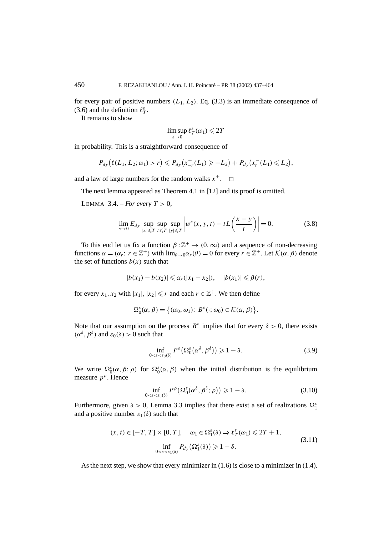for every pair of positive numbers  $(L_1, L_2)$ . Eq. (3.3) is an immediate consequence of (3.6) and the definition  $\ell^{\varepsilon}_T$ .

It remains to show

$$
\limsup_{\varepsilon\to 0} \ell^{\varepsilon}_T(\omega_1) \leqslant 2T
$$

in probability. This is a straightforward consequence of

$$
P_{dy}(\ell(L_1, L_2; \omega_1) > r) \leq P_{dy}(x_{-r}^+(L_1) \geq -L_2) + P_{dy}(x_r^-(L_1) \leq L_2),
$$

and a law of large numbers for the random walks  $x^{\pm}$ .  $\Box$ 

The next lemma appeared as Theorem 4.1 in [12] and its proof is omitted.

LEMMA 3.4. – *For every*  $T > 0$ ,

$$
\lim_{\varepsilon \to 0} E_{dy} \sup_{|x| \leqslant T} \sup_{t \leqslant T} \sup_{|y| \leqslant T} \left| w^{\varepsilon}(x, y, t) - tL\left(\frac{x - y}{t}\right) \right| = 0. \tag{3.8}
$$

To this end let us fix a function  $\beta : \mathbb{Z}^+ \to (0, \infty)$  and a sequence of non-decreasing functions *α* = (*α<sub>r</sub>*: *r* ∈  $\mathbb{Z}^+$ ) with  $\lim_{\theta \to 0} \alpha_r(\theta) = 0$  for every *r* ∈  $\mathbb{Z}^+$ . Let  $\mathcal{K}(\alpha, \beta)$  denote the set of functions  $b(x)$  such that

$$
|b(x_1) - b(x_2)| \leq \alpha_r(|x_1 - x_2|), \quad |b(x_1)| \leq \beta(r),
$$

for every  $x_1, x_2$  with  $|x_1|, |x_2| \le r$  and each  $r \in \mathbb{Z}^+$ . We then define

$$
\Omega_0^{\varepsilon}(\alpha,\beta) = \big\{(\omega_0,\omega_1): B^{\varepsilon}(\cdot;\omega_0) \in \mathcal{K}(\alpha,\beta)\big\}.
$$

Note that our assumption on the process  $B^{\varepsilon}$  implies that for every  $\delta > 0$ , there exists *(α*<sup> $δ$ </sup>,  $β$ <sup> $δ$ </sup>) and  $ε_0(δ) > 0$  such that

$$
\inf_{0 < \varepsilon < \varepsilon_0(\delta)} P^{\varepsilon} \left( \Omega_0^{\varepsilon} (\alpha^{\delta}, \beta^{\delta}) \right) \geqslant 1 - \delta. \tag{3.9}
$$

We write  $\Omega_0^{\varepsilon}(\alpha, \beta; \rho)$  for  $\Omega_0^{\varepsilon}(\alpha, \beta)$  when the initial distribution is the equilibrium measure *p<sup>ρ</sup>*. Hence

$$
\inf_{0 < \varepsilon < \varepsilon_0(\delta)} P^{\rho} \left( \Omega_0^{\varepsilon} (\alpha^{\delta}, \beta^{\delta}; \rho) \right) \geqslant 1 - \delta. \tag{3.10}
$$

Furthermore, given  $\delta > 0$ , Lemma 3.3 implies that there exist a set of realizations  $\Omega_1^{\varepsilon}$ and a positive number  $\varepsilon_1(\delta)$  such that

$$
(x, t) \in [-T, T] \times [0, T], \quad \omega_1 \in \Omega_1^{\varepsilon}(\delta) \Rightarrow \ell_T^{\varepsilon}(\omega_1) \le 2T + 1,
$$
  

$$
\inf_{0 < \varepsilon < \varepsilon_1(\delta)} P_{dy}(\Omega_1^{\varepsilon}(\delta)) \ge 1 - \delta.
$$
\n
$$
(3.11)
$$

As the next step, we show that every minimizer in (1.6) is close to a minimizer in (1.4).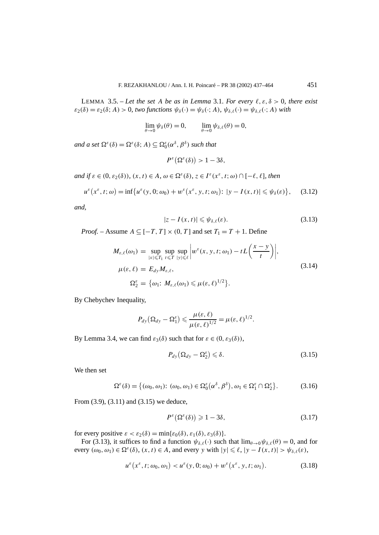LEMMA 3.5. – Let the set A be as in Lemma 3.1. For every  $\ell, \varepsilon, \delta > 0$ , there exist  $\varepsilon_2(\delta) = \varepsilon_2(\delta; A) > 0$ , two functions  $\psi_{\delta}(\cdot) = \psi_{\delta}(\cdot; A)$ ,  $\psi_{\delta,\ell}(\cdot) = \psi_{\delta,\ell}(\cdot; A)$  with

$$
\lim_{\theta \to 0} \psi_{\delta}(\theta) = 0, \qquad \lim_{\theta \to 0} \psi_{\delta,\ell}(\theta) = 0,
$$

*and a set*  $\Omega^{\varepsilon}(\delta) = \Omega^{\varepsilon}(\delta; A) \subseteq \Omega^{\varepsilon}_0(\alpha^{\delta}, \beta^{\delta})$  *such that* 

$$
P^{\varepsilon}\big(\Omega^{\varepsilon}(\delta)\big) > 1 - 3\delta,
$$

*and if*  $\varepsilon \in (0, \varepsilon_2(\delta))$ ,  $(x, t) \in A$ ,  $\omega \in \Omega^{\varepsilon}(\delta)$ ,  $z \in I^{\varepsilon}(x^{\varepsilon}, t; \omega) \cap [-\ell, \ell]$ , then

$$
u^{\varepsilon}\big(x^{\varepsilon},t;\omega\big)=\inf\big\{u^{\varepsilon}(y,0;\omega_0)+w^{\varepsilon}\big(x^{\varepsilon},y,t;\omega_1\big)\colon|y-I(x,t)|\leqslant\psi_{\delta}(\varepsilon)\big\},\quad(3.12)
$$

*and,*

$$
|z - I(x, t)| \leq \psi_{\delta, \ell}(\varepsilon). \tag{3.13}
$$

*Proof.* – Assume  $A \subseteq [-T, T] \times (0, T]$  and set  $T_1 = T + 1$ . Define

$$
M_{\varepsilon,\ell}(\omega_1) = \sup_{|x| \leq T_1} \sup_{t \leq T} \sup_{|y| \leq \ell} \left| w^{\varepsilon}(x, y, t; \omega_1) - tL\left(\frac{x - y}{t}\right) \right|,
$$
  
\n
$$
\mu(\varepsilon, \ell) = E_{dy} M_{\varepsilon, \ell},
$$
  
\n
$$
\Omega_2^{\varepsilon} = \{ \omega_1: M_{\varepsilon, \ell}(\omega_1) \leq \mu(\varepsilon, \ell)^{1/2} \}.
$$
\n(3.14)

By Chebychev Inequality,

$$
P_{dy}(\Omega_{dy}-\Omega_1^{\varepsilon})\leqslant \frac{\mu(\varepsilon,\ell)}{\mu(\varepsilon,\ell)^{1/2}}=\mu(\varepsilon,\ell)^{1/2}.
$$

By Lemma 3.4, we can find  $\varepsilon_3(\delta)$  such that for  $\varepsilon \in (0, \varepsilon_3(\delta))$ ,

$$
P_{dy}(\Omega_{dy} - \Omega_2^{\varepsilon}) \leq \delta. \tag{3.15}
$$

We then set

$$
\Omega^{\varepsilon}(\delta) = \{ (\omega_0, \omega_1) : (\omega_0, \omega_1) \in \Omega_0^{\varepsilon}(\alpha^{\delta}, \beta^{\delta}), \omega_1 \in \Omega_1^{\varepsilon} \cap \Omega_2^{\varepsilon} \}.
$$
 (3.16)

From (3.9), (3.11) and (3.15) we deduce,

$$
P^{\varepsilon}\big(\Omega^{\varepsilon}(\delta)\big) \geqslant 1 - 3\delta,\tag{3.17}
$$

for every positive  $\varepsilon < \varepsilon_2(\delta) = \min{\varepsilon_0(\delta), \varepsilon_1(\delta), \varepsilon_3(\delta)}.$ 

For (3.13), it suffices to find a function  $\psi_{\delta,\ell}(\cdot)$  such that  $\lim_{\theta\to 0} \psi_{\delta,\ell}(\theta) = 0$ , and for every  $(\omega_0, \omega_1) \in \Omega^{\varepsilon}(\delta)$ ,  $(x, t) \in A$ , and every *y* with  $|y| \leq \ell$ ,  $|y - I(x, t)| > \psi_{\delta,\ell}(\varepsilon)$ ,

$$
u^{\varepsilon}\big(x^{\varepsilon}, t; \omega_0, \omega_1\big) < u^{\varepsilon}(y, 0; \omega_0) + w^{\varepsilon}\big(x^{\varepsilon}, y, t; \omega_1\big). \tag{3.18}
$$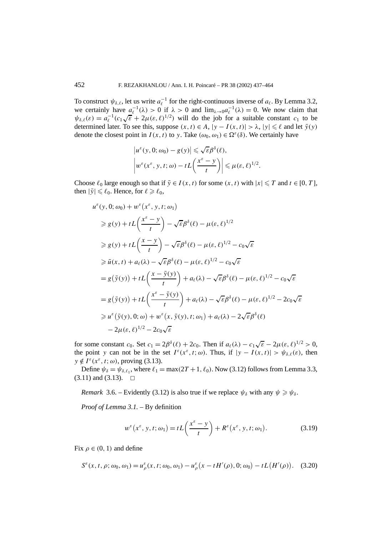To construct  $\psi_{\delta,\ell}$ , let us write  $a_{\ell}^{-1}$  for the right-continuous inverse of  $a_{\ell}$ . By Lemma 3.2, we certainly have  $a_{\ell}^{-1}(\lambda) > 0$  if  $\lambda > 0$  and  $\lim_{\lambda \to 0} a_{\ell}^{-1}(\lambda) = 0$ . We now claim that  $ψ_{\delta,\ell}(\varepsilon) = a_{\ell}^{-1} (c_1 \sqrt{\varepsilon} + 2\mu(\varepsilon, \ell)^{1/2})$  will do the job for a suitable constant *c*<sub>1</sub> to be determined later. To see this, suppose  $(x, t) \in A$ ,  $|y - I(x, t)| > \lambda$ ,  $|y| \le \ell$  and let  $\bar{y}(y)$ denote the closest point in  $I(x, t)$  to *y*. Take  $(\omega_0, \omega_1) \in \Omega^{\varepsilon}(\delta)$ . We certainly have

$$
\begin{aligned} \left|u^{\varepsilon}(y,0;\omega_0)-g(y)\right|&\leqslant \sqrt{\varepsilon}\beta^{\delta}(\ell),\\ \left|w^{\varepsilon}(x^{\varepsilon},y,t;\omega)-tL\left(\frac{x^{\varepsilon}-y}{t}\right)\right|&\leqslant \mu(\varepsilon,\ell)^{1/2}.\end{aligned}
$$

Choose  $\ell_0$  large enough so that if  $\bar{y} \in I(x, t)$  for some  $(x, t)$  with  $|x| \le T$  and  $t \in [0, T]$ , then  $|\bar{y}| \le \ell_0$ . Hence, for  $\ell \ge \ell_0$ ,

$$
u^{\varepsilon}(y, 0; \omega_{0}) + w^{\varepsilon}(x^{\varepsilon}, y, t; \omega_{1})
$$
  
\n
$$
\geq g(y) + tL\left(\frac{x^{\varepsilon} - y}{t}\right) - \sqrt{\varepsilon}\beta^{\delta}(\ell) - \mu(\varepsilon, \ell)^{1/2}
$$
  
\n
$$
\geq g(y) + tL\left(\frac{x - y}{t}\right) - \sqrt{\varepsilon}\beta^{\delta}(\ell) - \mu(\varepsilon, \ell)^{1/2} - c_{0}\sqrt{\varepsilon}
$$
  
\n
$$
\geq \bar{u}(x, t) + a_{\ell}(\lambda) - \sqrt{\varepsilon}\beta^{\delta}(\ell) - \mu(\varepsilon, \ell)^{1/2} - c_{0}\sqrt{\varepsilon}
$$
  
\n
$$
= g(\bar{y}(y)) + tL\left(\frac{x - \bar{y}(y)}{t}\right) + a_{\ell}(\lambda) - \sqrt{\varepsilon}\beta^{\delta}(\ell) - \mu(\varepsilon, \ell)^{1/2} - c_{0}\sqrt{\varepsilon}
$$
  
\n
$$
= g(\bar{y}(y)) + tL\left(\frac{x^{\varepsilon} - \bar{y}(y)}{t}\right) + a_{\ell}(\lambda) - \sqrt{\varepsilon}\beta^{\delta}(\ell) - \mu(\varepsilon, \ell)^{1/2} - 2c_{0}\sqrt{\varepsilon}
$$
  
\n
$$
\geq u^{\varepsilon}(\bar{y}(y), 0; \omega) + w^{\varepsilon}(x, \bar{y}(y), t; \omega_{1}) + a_{\ell}(\lambda) - 2\sqrt{\varepsilon}\beta^{\delta}(\ell)
$$
  
\n
$$
-2\mu(\varepsilon, \ell)^{1/2} - 2c_{0}\sqrt{\varepsilon}
$$

for some constant *c*<sub>0</sub>. Set  $c_1 = 2\beta^{\delta}(\ell) + 2c_0$ . Then if  $a_{\ell}(\lambda) - c_1\sqrt{\epsilon} - 2\mu(\epsilon, \ell)^{1/2} > 0$ , the point *y* can not be in the set  $I^{\varepsilon}(x^{\varepsilon}, t; \omega)$ . Thus, if  $|y - I(x, t)| > \psi_{\delta, \ell}(\varepsilon)$ , then  $y \notin I^{\varepsilon}(x^{\varepsilon}, t; \omega)$ , proving (3.13).

Define  $\psi_{\delta} = \psi_{\delta,\ell_1}$ , where  $\ell_1 = \max(2T + 1, \ell_0)$ . Now (3.12) follows from Lemma 3.3,  $(3.11)$  and  $(3.13)$ .  $\Box$ 

*Remark* 3.6. – Evidently (3.12) is also true if we replace  $\psi_{\delta}$  with any  $\psi \geq \psi_{\delta}$ .

*Proof of Lemma 3.1. –* By definition

$$
w^{\varepsilon}\big(x^{\varepsilon}, y, t; \omega_1\big) = tL\bigg(\frac{x^{\varepsilon} - y}{t}\bigg) + R^{\varepsilon}\big(x^{\varepsilon}, y, t; \omega_1\big). \tag{3.19}
$$

Fix  $\rho \in (0, 1)$  and define

$$
S^{\varepsilon}(x, t, \rho; \omega_0, \omega_1) = u^{\varepsilon}_{\rho}(x, t; \omega_0, \omega_1) - u^{\varepsilon}_{\rho}(x - t H'(\rho), 0; \omega_0) - t L(H'(\rho)). \quad (3.20)
$$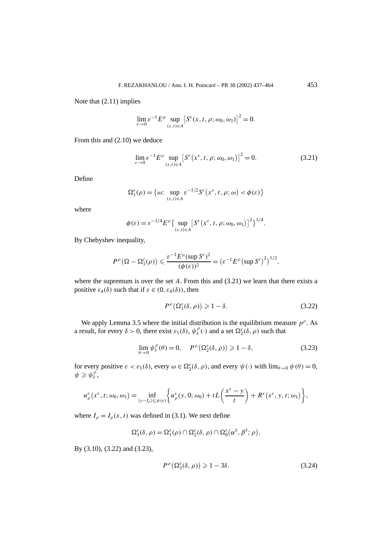Note that (2.11) implies

$$
\lim_{\varepsilon \to 0} \varepsilon^{-1} E^{\rho} \sup_{(x,t) \in A} \left[ S^{\varepsilon}(x, t, \rho; \omega_0, \omega_1) \right]^2 = 0.
$$

From this and (2.10) we deduce

$$
\lim_{\varepsilon \to 0} \varepsilon^{-1} E^{\rho} \sup_{(x,t) \in A} \left[ S^{\varepsilon}(x^{\varepsilon}, t, \rho; \omega_0, \omega_1) \right]^2 = 0.
$$
 (3.21)

Define

$$
\Omega_1^{\varepsilon}(\rho) = \{ \omega \colon \sup_{(x,t) \in A} \varepsilon^{-1/2} S^{\varepsilon}(x^{\varepsilon}, t, \rho; \omega) < \phi(\varepsilon) \}
$$

where

$$
\phi(\varepsilon) = \varepsilon^{-1/4} E^{\rho} \left\{ \sup_{(x,t) \in A} \left[ S^{\varepsilon}(x^{\varepsilon}, t, \rho; \omega_0, \omega_1) \right]^2 \right\}^{1/4}
$$

By Chebyshev inequality,

$$
P^{\rho}\left(\Omega-\Omega_1^{\varepsilon}(\rho)\right) \leqslant \frac{\varepsilon^{-1} E^{\rho}(\sup S^{\varepsilon})^2}{(\phi(\varepsilon))^2} = \left(\varepsilon^{-1} E^{\rho}\left(\sup S^{\varepsilon}\right)^2\right)^{1/2},
$$

where the supremum is over the set *A*. From this and (3.21) we learn that there exists a positive  $\varepsilon_4(\delta)$  such that if  $\varepsilon \in (0, \varepsilon_4(\delta))$ , then

$$
P^{\rho}\left(\Omega_1^{\varepsilon}(\delta,\rho)\right) \geqslant 1-\delta. \tag{3.22}
$$

*.*

We apply Lemma 3.5 where the initial distribution is the equilibrium measure  $p^{\rho}$ . As a result, for every  $\delta > 0$ , there exist  $\varepsilon_5(\delta)$ ,  $\psi_{\delta}^{\rho}(\cdot)$  and a set  $\Omega_2^{\varepsilon}(\delta, \rho)$  such that

$$
\lim_{\theta \to 0} \psi_{\delta}^{\rho}(\theta) = 0, \quad P^{\rho}(\Omega_2^{\varepsilon}(\delta, \rho)) \ge 1 - \delta,
$$
\n(3.23)

for every positive  $\varepsilon < \varepsilon_5(\delta)$ , every  $\omega \in \Omega_2^{\varepsilon}(\delta, \rho)$ , and every  $\psi(\cdot)$  with  $\lim_{\theta \to 0} \psi(\theta) = 0$ ,  $\psi \geqslant \psi_{\delta}^{\rho}$ ,

$$
u_{\rho}^{\varepsilon}\big(x^{\varepsilon}, t; \omega_0, \omega_1\big) = \inf_{|y - I_{\rho}| \leq \psi(\varepsilon)} \bigg\{ u_{\rho}^{\varepsilon}\big(y, 0; \omega_0\big) + tL\bigg(\frac{x^{\varepsilon} - y}{t}\bigg) + R^{\varepsilon}\big(x^{\varepsilon}, y, t; \omega_1\big)\bigg\},
$$

where  $I_\rho = I_\rho(x, t)$  was defined in (3.1). We next define

$$
\Omega_3^{\varepsilon}(\delta,\rho) = \Omega_1^{\varepsilon}(\rho) \cap \Omega_2^{\varepsilon}(\delta,\rho) \cap \Omega_0^{\varepsilon}(\alpha^{\delta},\beta^{\delta};\rho).
$$

By (3.10), (3.22) and (3.23),

$$
P^{\rho}\left(\Omega_3^{\varepsilon}(\delta,\rho)\right) \geqslant 1 - 3\delta. \tag{3.24}
$$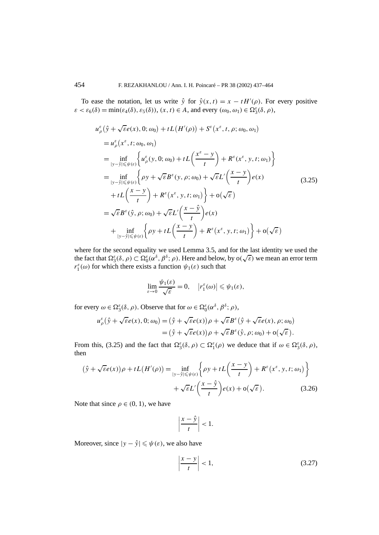To ease the notation, let us write  $\hat{y}$  for  $\hat{y}(x, t) = x - tH'(\rho)$ . For every positive  $\varepsilon < \varepsilon_6(\delta) = \min(\varepsilon_4(\delta), \varepsilon_5(\delta))$ ,  $(x, t) \in A$ , and every  $(\omega_0, \omega_1) \in \Omega_3^{\varepsilon}(\delta, \rho)$ ,

$$
u_{\rho}^{\varepsilon}(\hat{y} + \sqrt{\varepsilon}e(x), 0; \omega_{0}) + tL(H'(\rho)) + S^{\varepsilon}(x^{\varepsilon}, t, \rho; \omega_{0}, \omega_{1})
$$
  
\n
$$
= u_{\rho}^{\varepsilon}(x^{\varepsilon}, t; \omega_{0}, \omega_{1})
$$
  
\n
$$
= \inf_{|y - \hat{y}| \leq \psi(\varepsilon)} \left\{ u_{\rho}^{\varepsilon}(y, 0; \omega_{0}) + tL\left(\frac{x^{\varepsilon} - y}{t}\right) + R^{\varepsilon}(x^{\varepsilon}, y, t; \omega_{1}) \right\}
$$
  
\n
$$
= \inf_{|y - \hat{y}| \leq \psi(\varepsilon)} \left\{ \rho y + \sqrt{\varepsilon} B^{\varepsilon}(y, \rho; \omega_{0}) + \sqrt{\varepsilon} L' \left(\frac{x - y}{t}\right) e(x) \right\}
$$
  
\n
$$
+ tL\left(\frac{x - y}{t}\right) + R^{\varepsilon}(x^{\varepsilon}, y, t; \omega_{1}) + o(\sqrt{\varepsilon})
$$
  
\n
$$
= \sqrt{\varepsilon} B^{\varepsilon}(\hat{y}, \rho; \omega_{0}) + \sqrt{\varepsilon} L' \left(\frac{x - \hat{y}}{t}\right) e(x)
$$
  
\n
$$
+ \inf_{|y - \hat{y}| \leq \psi(\varepsilon)} \left\{ \rho y + tL\left(\frac{x - y}{t}\right) + R^{\varepsilon}(x^{\varepsilon}, y, t; \omega_{1}) \right\} + o(\sqrt{\varepsilon})
$$

where for the second equality we used Lemma 3.5, and for the last identity we used the where for the second equality we used Lemma 5.5, and for the fast identity we used the fact that  $\Omega_3^{\varepsilon}(\delta, \rho) \subset \Omega_0^{\varepsilon}(\alpha^{\delta}, \beta^{\delta}; \rho)$ . Here and below, by  $o(\sqrt{\varepsilon})$  we mean an error term *r*<sup>*ε*</sup><sub>1</sub>( $\omega$ ) for which there exists a function  $\psi_1(\varepsilon)$  such that

$$
\lim_{\varepsilon \to 0} \frac{\psi_1(\varepsilon)}{\sqrt{\varepsilon}} = 0, \quad |r_1^{\varepsilon}(\omega)| \leq \psi_1(\varepsilon),
$$

for every  $\omega \in \Omega_3^{\varepsilon}(\delta, \rho)$ . Observe that for  $\omega \in \Omega_0^{\varepsilon}(\alpha^{\delta}, \beta^{\delta}; \rho)$ ,

$$
u_{\rho}^{\varepsilon}(\hat{y} + \sqrt{\varepsilon}e(x), 0; \omega_{0}) = (\hat{y} + \sqrt{\varepsilon}e(x))\rho + \sqrt{\varepsilon}B^{\varepsilon}(\hat{y} + \sqrt{\varepsilon}e(x), \rho; \omega_{0})
$$
  
=  $(\hat{y} + \sqrt{\varepsilon}e(x))\rho + \sqrt{\varepsilon}B^{\varepsilon}(\hat{y}, \rho; \omega_{0}) + o(\sqrt{\varepsilon}).$ 

From this, (3.25) and the fact that  $\Omega_3^{\varepsilon}(\delta, \rho) \subset \Omega_1^{\varepsilon}(\rho)$  we deduce that if  $\omega \in \Omega_3^{\varepsilon}(\delta, \rho)$ , then

$$
(\hat{y} + \sqrt{\varepsilon}e(x))\rho + tL(H'(\rho)) = \inf_{|y - \hat{y}| \leq \psi(\varepsilon)} \left\{ \rho y + tL\left(\frac{x - y}{t}\right) + R^{\varepsilon}(x^{\varepsilon}, y, t; \omega_1) \right\} + \sqrt{\varepsilon}L'\left(\frac{x - \hat{y}}{t}\right)e(x) + o(\sqrt{\varepsilon}).
$$
\n(3.26)

Note that since  $\rho \in (0, 1)$ , we have

$$
\left|\frac{x-\hat{y}}{t}\right| < 1.
$$

Moreover, since  $|y - \hat{y}| \le \psi(\varepsilon)$ , we also have

$$
\left|\frac{x-y}{t}\right| < 1,\tag{3.27}
$$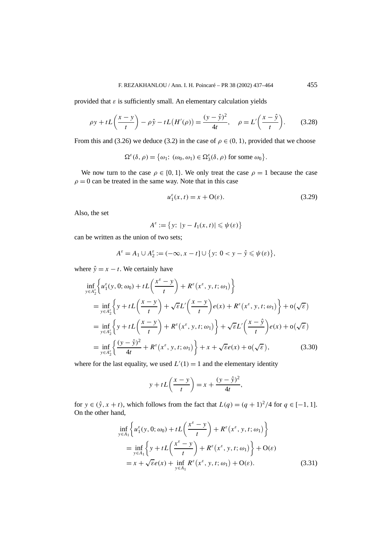provided that  $\varepsilon$  is sufficiently small. An elementary calculation yields

$$
\rho y + tL\left(\frac{x-y}{t}\right) - \rho \hat{y} - tL\left(H'(\rho)\right) = \frac{(y-\hat{y})^2}{4t}, \quad \rho = L'\left(\frac{x-\hat{y}}{t}\right). \tag{3.28}
$$

From this and (3.26) we deduce (3.2) in the case of  $\rho \in (0, 1)$ , provided that we choose

$$
\Omega^{\varepsilon}(\delta,\rho) = \big\{\omega_1\colon (\omega_0,\omega_1) \in \Omega_3^{\varepsilon}(\delta,\rho) \text{ for some } \omega_0\big\}.
$$

We now turn to the case  $\rho \in \{0, 1\}$ . We only treat the case  $\rho = 1$  because the case  $\rho = 0$  can be treated in the same way. Note that in this case

$$
u_1^{\varepsilon}(x,t) = x + \mathcal{O}(\varepsilon). \tag{3.29}
$$

Also, the set

$$
A^{\varepsilon} := \{ y \colon |y - I_1(x, t)| \leq \psi(\varepsilon) \}
$$

can be written as the union of two sets;

$$
A^{\varepsilon} = A_1 \cup A_2^{\varepsilon} := (-\infty, x - t] \cup \{y: 0 < y - \hat{y} \leq \psi(\varepsilon) \},
$$

where  $\hat{y} = x - t$ . We certainly have

$$
\inf_{y \in A_2^{\epsilon}} \left\{ u_1^{\epsilon}(y, 0; \omega_0) + tL\left(\frac{x^{\epsilon} - y}{t}\right) + R^{\epsilon}(x^{\epsilon}, y, t; \omega_1) \right\}
$$
\n
$$
= \inf_{y \in A_2^{\epsilon}} \left\{ y + tL\left(\frac{x - y}{t}\right) + \sqrt{\epsilon}L'\left(\frac{x - y}{t}\right)e(x) + R^{\epsilon}(x^{\epsilon}, y, t; \omega_1) \right\} + o(\sqrt{\epsilon})
$$
\n
$$
= \inf_{y \in A_2^{\epsilon}} \left\{ y + tL\left(\frac{x - y}{t}\right) + R^{\epsilon}(x^{\epsilon}, y, t; \omega_1) \right\} + \sqrt{\epsilon}L'\left(\frac{x - \hat{y}}{t}\right)e(x) + o(\sqrt{\epsilon})
$$
\n
$$
= \inf_{y \in A_2^{\epsilon}} \left\{ \frac{(y - \hat{y})^2}{4t} + R^{\epsilon}(x^{\epsilon}, y, t; \omega_1) \right\} + x + \sqrt{\epsilon}e(x) + o(\sqrt{\epsilon}), \tag{3.30}
$$

where for the last equality, we used  $L'(1) = 1$  and the elementary identity

$$
y + tL\left(\frac{x-y}{t}\right) = x + \frac{(y-\hat{y})^2}{4t},
$$

for  $y \in (\hat{y}, x + t)$ , which follows from the fact that  $L(q) = (q + 1)^2/4$  for  $q \in [-1, 1]$ . On the other hand,

$$
\inf_{y \in A_1} \left\{ u_1^{\varepsilon}(y, 0; \omega_0) + tL\left(\frac{x^{\varepsilon} - y}{t}\right) + R^{\varepsilon}(x^{\varepsilon}, y, t; \omega_1) \right\}
$$
\n
$$
= \inf_{y \in A_1} \left\{ y + tL\left(\frac{x^{\varepsilon} - y}{t}\right) + R^{\varepsilon}(x^{\varepsilon}, y, t; \omega_1) \right\} + O(\varepsilon)
$$
\n
$$
= x + \sqrt{\varepsilon} e(x) + \inf_{y \in A_1} R^{\varepsilon}(x^{\varepsilon}, y, t; \omega_1) + O(\varepsilon).
$$
\n(3.31)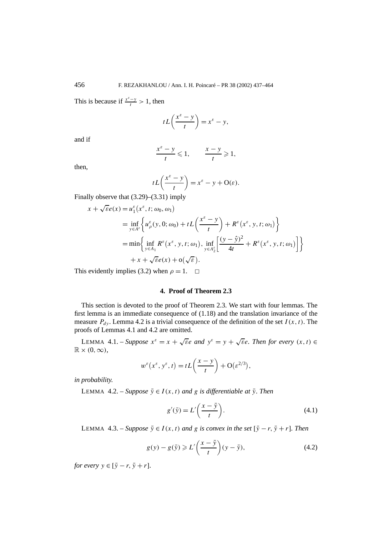This is because if  $\frac{x^{\varepsilon}-y}{t} > 1$ , then

$$
tL\left(\frac{x^{\varepsilon}-y}{t}\right)=x^{\varepsilon}-y,
$$

and if

$$
\frac{x^{\varepsilon}-y}{t}\leqslant 1, \qquad \frac{x-y}{t}\geqslant 1,
$$

then,

$$
tL\left(\frac{x^{\varepsilon}-y}{t}\right) = x^{\varepsilon} - y + O(\varepsilon).
$$

Finally observe that (3.29)–(3.31) imply

$$
x + \sqrt{\varepsilon}e(x) = u_1^{\varepsilon}(x^{\varepsilon}, t; \omega_0, \omega_1)
$$
  
\n
$$
= \inf_{y \in A^{\varepsilon}} \left\{ u_p^{\varepsilon}(y, 0; \omega_0) + tL\left(\frac{x^{\varepsilon} - y}{t}\right) + R^{\varepsilon}(x^{\varepsilon}, y, t; \omega_1) \right\}
$$
  
\n
$$
= \min \left\{ \inf_{y \in A_1} R^{\varepsilon}(x^{\varepsilon}, y, t; \omega_1), \inf_{y \in A_2^{\varepsilon}} \left[ \frac{(y - \hat{y})^2}{4t} + R^{\varepsilon}(x^{\varepsilon}, y, t; \omega_1) \right] \right\}
$$
  
\n
$$
+ x + \sqrt{\varepsilon}e(x) + o(\sqrt{\varepsilon}).
$$

This evidently implies (3.2) when  $\rho = 1$ .  $\Box$ 

### **4. Proof of Theorem 2.3**

This section is devoted to the proof of Theorem 2.3. We start with four lemmas. The first lemma is an immediate consequence of (1.18) and the translation invariance of the measure  $P_{dy}$ . Lemma 4.2 is a trivial consequence of the definition of the set  $I(x, t)$ . The proofs of Lemmas 4.1 and 4.2 are omitted.

LEMMA 4.1. – *Suppose*  $x^{\varepsilon} = x + \sqrt{\varepsilon}e$  *and*  $y^{\varepsilon} = y + \sqrt{\varepsilon}e$ *. Then for every*  $(x, t) \in$  $\mathbb{R} \times (0, \infty)$ ,

$$
w^{\varepsilon}(x^{\varepsilon}, y^{\varepsilon}, t) = tL\left(\frac{x-y}{t}\right) + O(\varepsilon^{2/3}),
$$

*in probability.*

LEMMA 4.2. – *Suppose*  $\bar{y} \in I(x, t)$  *and g is differentiable at*  $\bar{y}$ *. Then* 

$$
g'(\bar{y}) = L'\left(\frac{x-\bar{y}}{t}\right). \tag{4.1}
$$

LEMMA 4.3. – *Suppose*  $\bar{y} \in I(x, t)$  *and g is convex in the set*  $[\bar{y} - r, \bar{y} + r]$ *. Then* 

$$
g(y) - g(\bar{y}) \ge L'\left(\frac{x-\bar{y}}{t}\right)(y-\bar{y}),\tag{4.2}
$$

*for every*  $y \in [\bar{y} - r, \bar{y} + r]$ *.*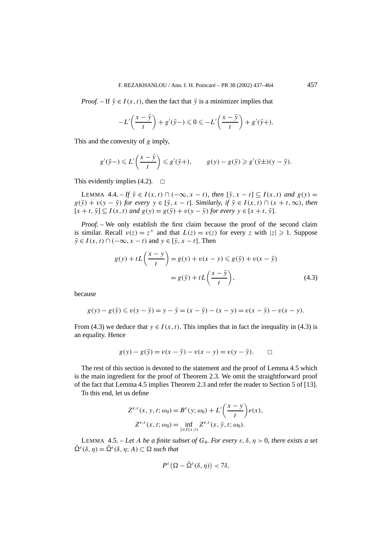*Proof.* – If  $\bar{y} \in I(x, t)$ , then the fact that  $\bar{y}$  is a minimizer implies that

$$
-L'\left(\frac{x-\bar{y}}{t}\right)+g'(\bar{y}-)\leqslant 0\leqslant -L'\left(\frac{x-\bar{y}}{t}\right)+g'(\bar{y}+).
$$

This and the convexity of *g* imply,

$$
g'(\bar{y}-) \leq L'\left(\frac{x-\bar{y}}{t}\right) \leq g'(\bar{y}+), \qquad g(y)-g(\bar{y}) \geq g'(\bar{y}\pm)(y-\bar{y}).
$$

This evidently implies  $(4.2)$ .  $\Box$ 

LEMMA 4.4.  $-F \overline{y} \in I(x, t) \cap (-\infty, x - t)$ , then  $[\overline{y}, x - t] \subseteq I(x, t)$  and  $g(y) =$  $g(\bar{y}) + v(y - \bar{y})$  *for every*  $y \in [\bar{y}, x - t]$ *. Similarly, if*  $\bar{y} \in I(x, t) \cap (x + t, \infty)$ *, then*  $[x + t, \bar{y}] \subseteq I(x, t)$  *and*  $g(y) = g(\bar{y}) + v(y - \bar{y})$  *for every*  $y \in [x + t, \bar{y}]$ *.* 

*Proof.* – We only establish the first claim because the proof of the second claim is similar. Recall  $v(z) = z^+$  and that  $L(z) = v(z)$  for every *z* with  $|z| \geq 1$ . Suppose  $\overline{y} \in I(x, t) \cap (-\infty, x - t)$  and  $y \in [\overline{y}, x - t]$ . Then

$$
g(y) + tL\left(\frac{x-y}{t}\right) = g(y) + v(x-y) \leq g(\bar{y}) + v(x-\bar{y})
$$

$$
= g(\bar{y}) + tL\left(\frac{x-\bar{y}}{t}\right),\tag{4.3}
$$

because

$$
g(y) - g(\bar{y}) \leq v(y - \bar{y}) = y - \bar{y} = (x - \bar{y}) - (x - y) = v(x - \bar{y}) - v(x - y).
$$

From (4.3) we deduce that  $y \in I(x, t)$ . This implies that in fact the inequality in (4.3) is an equality. Hence

$$
g(y) - g(\bar{y}) = v(x - \bar{y}) - v(x - y) = v(y - \bar{y}). \qquad \Box
$$

The rest of this section is devoted to the statement and the proof of Lemma 4.5 which is the main ingredient for the proof of Theorem 2.3. We omit the straightforward proof of the fact that Lemma 4.5 implies Theorem 2.3 and refer the reader to Section 5 of [13].

To this end, let us define

$$
Z^{e,\varepsilon}(x, y, t; \omega_0) = B^{\varepsilon}(y; \omega_0) + L'\left(\frac{x-y}{t}\right) e(x),
$$
  

$$
Z^{e,\varepsilon}(x, t; \omega_0) = \inf_{\bar{y} \in I(x, t)} Z^{e,\varepsilon}(x, \bar{y}, t; \omega_0).
$$

LEMMA 4.5. – Let A be a finite subset of  $G_4$ . For every  $\varepsilon$ ,  $\delta$ ,  $\eta > 0$ , there exists a set  $\overline{\Omega}^{\varepsilon}(\delta, \eta) = \overline{\Omega}^{\varepsilon}(\delta, \eta; A) \subset \Omega$  *such that* 

$$
P^{\varepsilon}\big(\Omega-\bar{\Omega}^{\varepsilon}(\delta,\eta)\big)<7\delta,
$$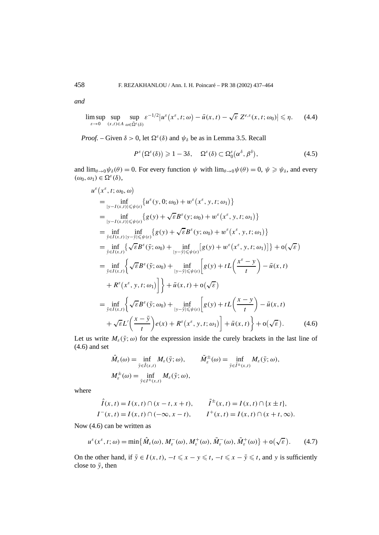*and*

$$
\limsup_{\varepsilon \to 0} \sup_{(x,t) \in A} \sup_{\omega \in \bar{\Omega}^{\varepsilon}(\delta)} \varepsilon^{-1/2} |u^{\varepsilon}(x^{\varepsilon}, t; \omega) - \bar{u}(x, t) - \sqrt{\varepsilon} Z^{\varepsilon, \varepsilon}(x, t; \omega_0)| \leq \eta. \tag{4.4}
$$

*Proof.* – Given  $\delta > 0$ , let  $\Omega^{\varepsilon}(\delta)$  and  $\psi_{\delta}$  be as in Lemma 3.5. Recall

$$
P^{\varepsilon}\big(\Omega^{\varepsilon}(\delta)\big) \geqslant 1 - 3\delta, \quad \Omega^{\varepsilon}(\delta) \subset \Omega^{\varepsilon}_0(\alpha^{\delta}, \beta^{\delta}), \tag{4.5}
$$

and  $\lim_{\theta \to 0} \psi_{\delta}(\theta) = 0$ . For every function  $\psi$  with  $\lim_{\theta \to 0} \psi(\theta) = 0$ ,  $\psi \ge \psi_{\delta}$ , and every  $(\omega_0, \omega_1) \in \Omega^{\varepsilon}(\delta),$ 

$$
u^{\varepsilon}(x^{\varepsilon},t;\omega_{0},\omega)
$$
\n
$$
= \inf_{|y-I(x,t)|\leq \psi(\varepsilon)} \{u^{\varepsilon}(y,0;\omega_{0}) + w^{\varepsilon}(x^{\varepsilon},y,t;\omega_{1})\}
$$
\n
$$
= \inf_{|y-I(x,t)|\leq \psi(\varepsilon)} \{g(y) + \sqrt{\varepsilon}B^{\varepsilon}(y;\omega_{0}) + w^{\varepsilon}(x^{\varepsilon},y,t;\omega_{1})\}
$$
\n
$$
= \inf_{\bar{y}\in I(x,t)} \inf_{|y-\bar{y}|\leq \psi(\varepsilon)} \{g(y) + \sqrt{\varepsilon}B^{\varepsilon}(y;\omega_{0}) + w^{\varepsilon}(x^{\varepsilon},y,t;\omega_{1})\}
$$
\n
$$
= \inf_{\bar{y}\in I(x,t)} \{ \sqrt{\varepsilon}B^{\varepsilon}(\bar{y};\omega_{0}) + \inf_{|y-\bar{y}|\leq \psi(\varepsilon)} [g(y) + w^{\varepsilon}(x^{\varepsilon},y,t;\omega_{1})] \} + o(\sqrt{\varepsilon})
$$
\n
$$
= \inf_{\bar{y}\in I(x,t)} \{ \sqrt{\varepsilon}B^{\varepsilon}(\bar{y};\omega_{0}) + \inf_{|y-\bar{y}|\leq \psi(\varepsilon)} [g(y) + tL\left(\frac{x^{\varepsilon}-y}{t}\right) - \bar{u}(x,t) + R^{\varepsilon}(x^{\varepsilon},y,t;\omega_{1})] \} + \bar{u}(x,t) + o(\sqrt{\varepsilon})
$$
\n
$$
= \inf_{\bar{y}\in I(x,t)} \{ \sqrt{\varepsilon}B^{\varepsilon}(\bar{y};\omega_{0}) + \inf_{|y-\bar{y}|\leq \psi(\varepsilon)} [g(y) + tL\left(\frac{x-y}{t}\right) - \bar{u}(x,t) + \sqrt{\varepsilon}L'(\frac{x-\bar{y}}{t})e(x) + R^{\varepsilon}(x^{\varepsilon},y,t;\omega_{1})] + \bar{u}(x,t) \} + o(\sqrt{\varepsilon}). \qquad (4.6)
$$

Let us write  $M_{\varepsilon}(\bar{y}; \omega)$  for the expression inside the curely brackets in the last line of (4.6) and set

$$
\hat{M}_{\varepsilon}(\omega) = \inf_{\bar{y} \in \hat{I}(x,t)} M_{\varepsilon}(\bar{y}; \omega), \qquad \tilde{M}_{\varepsilon}^{\pm}(\omega) = \inf_{\bar{y} \in \tilde{I}^{\pm}(x,t)} M_{\varepsilon}(\bar{y}; \omega),
$$
  

$$
M_{\varepsilon}^{\pm}(\omega) = \inf_{\bar{y} \in I^{\pm}(x,t)} M_{\varepsilon}(\bar{y}; \omega),
$$

where

$$
\hat{I}(x,t) = I(x,t) \cap (x-t, x+t), \qquad \tilde{I}^{\pm}(x,t) = I(x,t) \cap \{x \pm t\},
$$
  

$$
I^-(x,t) = I(x,t) \cap (-\infty, x-t), \qquad I^+(x,t) = I(x,t) \cap (x+t, \infty).
$$

Now (4.6) can be written as

$$
u^{\varepsilon}(x^{\varepsilon}, t; \omega) = \min\{\hat{M}_{\varepsilon}(\omega), M_{\varepsilon}^-(\omega), M_{\varepsilon}^+(\omega), \tilde{M}_{\varepsilon}^-(\omega), \tilde{M}_{\varepsilon}^+(\omega)\} + o(\sqrt{\varepsilon}).
$$
 (4.7)

On the other hand, if  $\bar{y} \in I(x, t)$ ,  $-t \leq x - y \leq t$ ,  $-t \leq x - \bar{y} \leq t$ , and *y* is sufficiently close to  $\bar{v}$ , then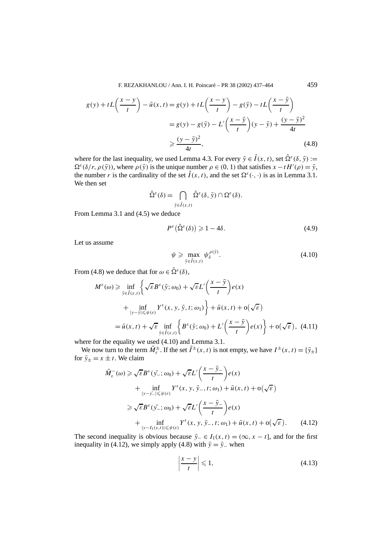F. REZAKHANLOU / Ann. I. H. Poincaré – PR 38 (2002) 437–464 459

$$
g(y) + tL\left(\frac{x-y}{t}\right) - \bar{u}(x,t) = g(y) + tL\left(\frac{x-y}{t}\right) - g(\bar{y}) - tL\left(\frac{x-\bar{y}}{t}\right)
$$

$$
= g(y) - g(\bar{y}) - L'\left(\frac{x-\bar{y}}{t}\right)(y-\bar{y}) + \frac{(y-\bar{y})^2}{4t}
$$

$$
\geq \frac{(y-\bar{y})^2}{4t},\tag{4.8}
$$

where for the last inequality, we used Lemma 4.3. For every  $\bar{y} \in \hat{I}(x, t)$ , set  $\hat{\Omega}^{\varepsilon}(\delta, \bar{y}) :=$  $\Omega^{\varepsilon}(\delta/r, \rho(\bar{y}))$ , where  $\rho(\bar{y})$  is the unique number  $\rho \in (0, 1)$  that satisfies  $x - tH'(\rho) = \bar{y}$ , the number *r* is the cardinality of the set  $\hat{I}(x, t)$ , and the set  $\Omega^{\varepsilon}(\cdot, \cdot)$  is as in Lemma 3.1. We then set

$$
\hat{\Omega}^{\varepsilon}(\delta) = \bigcap_{\bar{y}\in \hat{I}(x,t)} \hat{\Omega}^{\varepsilon}(\delta, \bar{y}) \cap \Omega^{\varepsilon}(\delta).
$$

From Lemma 3.1 and (4.5) we deduce

$$
P^{\varepsilon}(\hat{\Omega}^{\varepsilon}(\delta)) \geq 1 - 4\delta. \tag{4.9}
$$

Let us assume

$$
\psi \ge \max_{\bar{y}\in \hat{I}(x,t)} \psi^{\rho(\bar{y})}_{\delta}.
$$
\n(4.10)

From (4.8) we deduce that for  $\omega \in \hat{\Omega}^{\varepsilon}(\delta)$ ,

$$
M^{\varepsilon}(\omega) \ge \inf_{\bar{y} \in \hat{I}(x,t)} \left\{ \sqrt{\varepsilon} B^{\varepsilon}(\bar{y}; \omega_0) + \sqrt{\varepsilon} L' \left( \frac{x - \bar{y}}{t} \right) e(x) \right. \\ \left. + \inf_{|y - \bar{y}| \le \psi(\varepsilon)} Y^{\varepsilon}(x, y, \bar{y}, t; \omega_1) \right\} + \bar{u}(x, t) + o(\sqrt{\varepsilon})
$$

$$
= \bar{u}(x, t) + \sqrt{\varepsilon} \inf_{\bar{y} \in \hat{I}(x,t)} \left\{ B^{\varepsilon}(\bar{y}; \omega_0) + L' \left( \frac{x - \bar{y}}{t} \right) e(x) \right\} + o(\sqrt{\varepsilon}), \tag{4.11}
$$

where for the equality we used (4.10) and Lemma 3.1.

We now turn to the term  $\tilde{M}_{\varepsilon}^{\pm}$ . If the set  $\tilde{I}^{\pm}(x, t)$  is not empty, we have  $I^{\pm}(x, t) = {\bar{y}_{\pm}}$ for  $\bar{y}_+ = x \pm t$ . We claim

$$
\tilde{M}_{\varepsilon}^{-}(\omega) \geq \sqrt{\varepsilon} B^{\varepsilon}(\bar{y}_{-}; \omega_{0}) + \sqrt{\varepsilon} L' \left( \frac{x - \bar{y}_{-}}{t} \right) e(x)
$$
\n
$$
+ \inf_{|y - \bar{y}_{-}| \leq \psi(\varepsilon)} Y^{\varepsilon}(x, y, \bar{y}_{-}, t; \omega_{1}) + \bar{u}(x, t) + o(\sqrt{\varepsilon})
$$
\n
$$
\geq \sqrt{\varepsilon} B^{\varepsilon}(\bar{y}_{-}; \omega_{0}) + \sqrt{\varepsilon} L' \left( \frac{x - \bar{y}_{-}}{t} \right) e(x)
$$
\n
$$
+ \inf_{|y - I_{1}(x, t)| \leq \psi(\varepsilon)} Y^{\varepsilon}(x, y, \bar{y}_{-}, t; \omega_{1}) + \bar{u}(x, t) + o(\sqrt{\varepsilon}). \tag{4.12}
$$

The second inequality is obvious because  $\bar{y}_- \in I_1(x, t) = (\infty, x - t]$ , and for the first inequality in (4.12), we simply apply (4.8) with  $\bar{y} = \bar{y}_-$  when

$$
\left|\frac{x-y}{t}\right| \leqslant 1,\tag{4.13}
$$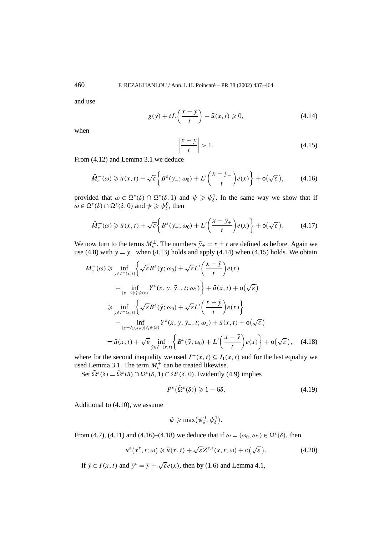and use

$$
g(y) + tL\left(\frac{x-y}{t}\right) - \bar{u}(x,t) \ge 0,
$$
\n(4.14)

when

$$
\left|\frac{x-y}{t}\right| > 1.\tag{4.15}
$$

From (4.12) and Lemma 3.1 we deduce

$$
\tilde{M}_{\varepsilon}(\omega) \geq \bar{u}(x,t) + \sqrt{\varepsilon} \left\{ B^{\varepsilon}(\bar{y}_{-};\omega_0) + L'\left(\frac{x-\bar{y}_{-}}{t}\right) e(x) \right\} + o(\sqrt{\varepsilon}), \tag{4.16}
$$

provided that  $\omega \in \Omega^{\varepsilon}(\delta) \cap \Omega^{\varepsilon}(\delta, 1)$  and  $\psi \geq \psi_{\delta}^1$ . In the same way we show that if  $\omega \in \Omega^{\varepsilon}(\delta) \cap \Omega^{\varepsilon}(\delta, 0)$  and  $\psi \geqslant \psi_{\delta}^{0}$ , then

$$
\tilde{M}_{\varepsilon}^+(\omega) \ge \bar{u}(x,t) + \sqrt{\varepsilon} \bigg\{ B^{\varepsilon}(\bar{y_+}; \omega_0) + L' \bigg( \frac{x - \bar{y}_+}{t} \bigg) e(x) \bigg\} + o(\sqrt{\varepsilon}). \tag{4.17}
$$

We now turn to the terms  $M_{\varepsilon}^{\pm}$ . The numbers  $\bar{y}_{\pm} = x \pm t$  are defined as before. Again we use (4.8) with  $\bar{y} = \bar{y}$  when (4.13) holds and apply (4.14) when (4.15) holds. We obtain

$$
M_{\varepsilon}^{-}(\omega) \geq \inf_{\bar{y}\in I^{-}(x,t)} \left\{ \sqrt{\varepsilon} B^{\varepsilon}(\bar{y};\omega_{0}) + \sqrt{\varepsilon} L' \left( \frac{x-\bar{y}}{t} \right) e(x) \right. \\ \left. + \inf_{|y-\bar{y}| \leq \psi(\varepsilon)} Y^{\varepsilon}(x,y,\bar{y}_-,t;\omega_{1}) \right\} + \bar{u}(x,t) + o(\sqrt{\varepsilon})
$$
  

$$
\geq \inf_{\bar{y}\in I^{-}(x,t)} \left\{ \sqrt{\varepsilon} B^{\varepsilon}(\bar{y};\omega_{0}) + \sqrt{\varepsilon} L' \left( \frac{x-\bar{y}}{t} \right) e(x) \right\} + \inf_{|y-I_{1}(x,t)| \leq \psi(\varepsilon)} Y^{\varepsilon}(x,y,\bar{y}_-,t;\omega_{1}) + \bar{u}(x,t) + o(\sqrt{\varepsilon})
$$
  

$$
= \bar{u}(x,t) + \sqrt{\varepsilon} \inf_{\bar{y}\in I^{-}(x,t)} \left\{ B^{\varepsilon}(\bar{y};\omega_{0}) + L' \left( \frac{x-\bar{y}}{t} \right) e(x) \right\} + o(\sqrt{\varepsilon}), \quad (4.18)
$$

where for the second inequality we used  $I^-(x, t) \subseteq I_1(x, t)$  and for the last equality we used Lemma 3.1. The term  $M_{\varepsilon}^+$  can be treated likewise.

Set  $\tilde{\Omega}^{\varepsilon}(\delta) = \hat{\Omega}^{\varepsilon}(\delta) \cap \Omega^{\varepsilon}(\delta, 1) \cap \Omega^{\varepsilon}(\delta, 0)$ . Evidently (4.9) implies

$$
P^{\varepsilon}\big(\tilde{\Omega}^{\varepsilon}(\delta)\big) \geqslant 1 - 6\delta. \tag{4.19}
$$

Additional to (4.10), we assume

$$
\psi \geqslant \max(\psi_\delta^0, \psi_\delta^1).
$$

From (4.7), (4.11) and (4.16)–(4.18) we deduce that if  $\omega = (\omega_0, \omega_1) \in \Omega^{\varepsilon}(\delta)$ , then

$$
u^{\varepsilon}\big(x^{\varepsilon}, t; \omega\big) \geqslant \bar{u}(x, t) + \sqrt{\varepsilon} Z^{e, \varepsilon}(x, t; \omega) + o\big(\sqrt{\varepsilon}\big). \tag{4.20}
$$

If  $\bar{y} \in I(x, t)$  and  $\bar{y}^{\varepsilon} = \bar{y} + \sqrt{\varepsilon}e(x)$ , then by (1.6) and Lemma 4.1,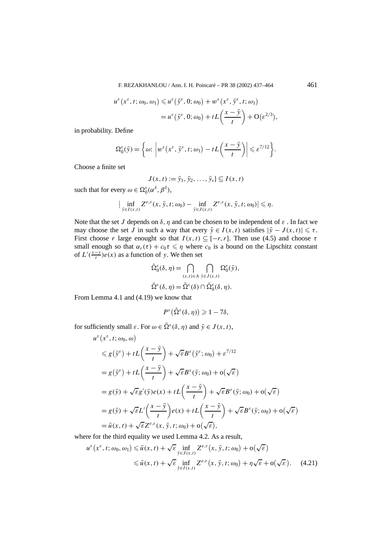F. REZAKHANLOU / Ann. I. H. Poincaré – PR 38 (2002) 437–464 461

$$
u^{\varepsilon}\left(x^{\varepsilon}, t; \omega_0, \omega_1\right) \leq u^{\varepsilon}\left(\bar{y}^{\varepsilon}, 0; \omega_0\right) + w^{\varepsilon}\left(x^{\varepsilon}, \bar{y}^{\varepsilon}, t; \omega_1\right)
$$
  
= 
$$
u^{\varepsilon}\left(\bar{y}^{\varepsilon}, 0; \omega_0\right) + tL\left(\frac{x-\bar{y}}{t}\right) + O(\varepsilon^{2/3}),
$$

in probability. Define

$$
\Omega_0^{\varepsilon}(\bar{y}) = \left\{\omega: \left| w^{\varepsilon}\big(x^{\varepsilon}, \bar{y}^{\varepsilon}, t; \omega_1\big) - tL\big(\frac{x-\bar{y}}{t}\big) \right| \leqslant \varepsilon^{7/12} \right\}.
$$

Choose a finite set

$$
J(x,t) := \bar{y}_1, \bar{y}_2, \ldots, \bar{y}_s \} \subseteq I(x,t)
$$

such that for every  $\omega \in \Omega_0^{\varepsilon}(\alpha^{\delta}, \beta^{\delta}),$ 

$$
\Big|\inf_{\bar{y}\in I(x,t)} Z^{e,\varepsilon}(x,\bar{y},t;\omega_0)-\inf_{\bar{y}\in J(x,t)} Z^{e,\varepsilon}(x,\bar{y},t;\omega_0)\Big|\leqslant \eta.
$$

Note that the set *J* depends on  $\delta$ ,  $\eta$  and can be chosen to be independent of  $\varepsilon$ . In fact we may choose the set *J* in such a way that every  $\bar{y} \in I(x, t)$  satisfies  $|\bar{y} - J(x, t)| \le \tau$ . First choose *r* large enought so that  $I(x, t) \subseteq [-r, r]$ . Then use (4.5) and choose  $\tau$ small enough so that  $\alpha_r(\tau) + c_0\tau \leq \eta$  where  $c_0$  is a bound on the Lipschitz constant of  $L'(\frac{x-y}{t})e(x)$  as a function of *y*. We then set

$$
\bar{\Omega}_{0}^{\varepsilon}(\delta, \eta) = \bigcap_{(x,t) \in A} \bigcap_{\bar{y} \in J(x,t)} \Omega_{0}^{\varepsilon}(\bar{y}),
$$
  

$$
\bar{\Omega}^{\varepsilon}(\delta, \eta) = \tilde{\Omega}^{\varepsilon}(\delta) \cap \bar{\Omega}_{0}^{\varepsilon}(\delta, \eta).
$$

From Lemma 4.1 and (4.19) we know that

$$
P^{\varepsilon}\big(\hat{\Omega}^{\varepsilon}(\delta,\eta)\big) \geqslant 1-7\delta,
$$

for sufficiently small  $\varepsilon$ . For  $\omega \in \overline{\Omega}^{\varepsilon}(\delta, \eta)$  and  $\overline{y} \in J(x, t)$ ,

$$
u^{\varepsilon}(x^{\varepsilon}, t; \omega_{0}, \omega)
$$
  
\n
$$
\leq g(\bar{y}^{\varepsilon}) + tL\left(\frac{x-\bar{y}}{t}\right) + \sqrt{\varepsilon}B^{\varepsilon}(\bar{y}^{\varepsilon}; \omega_{0}) + \varepsilon^{7/12}
$$
  
\n
$$
= g(\bar{y}^{\varepsilon}) + tL\left(\frac{x-\bar{y}}{t}\right) + \sqrt{\varepsilon}B^{\varepsilon}(\bar{y}; \omega_{0}) + o(\sqrt{\varepsilon})
$$
  
\n
$$
= g(\bar{y}) + \sqrt{\varepsilon}g'(\bar{y})e(x) + tL\left(\frac{x-\bar{y}}{t}\right) + \sqrt{\varepsilon}B^{\varepsilon}(\bar{y}; \omega_{0}) + o(\sqrt{\varepsilon})
$$
  
\n
$$
= g(\bar{y}) + \sqrt{\varepsilon}L'\left(\frac{x-\bar{y}}{t}\right)e(x) + tL\left(\frac{x-\bar{y}}{t}\right) + \sqrt{\varepsilon}B^{\varepsilon}(\bar{y}; \omega_{0}) + o(\sqrt{\varepsilon})
$$
  
\n
$$
= \bar{u}(x, t) + \sqrt{\varepsilon}Z^{\varepsilon, \varepsilon}(x, \bar{y}, t; \omega_{0}) + o(\sqrt{\varepsilon}),
$$

where for the third equality we used Lemma 4.2. As a result,

$$
u^{\varepsilon}\big(x^{\varepsilon}, t; \omega_{0}, \omega_{1}\big) \leq \bar{u}(x, t) + \sqrt{\varepsilon} \inf_{\bar{y} \in J(x, t)} Z^{\varepsilon, \varepsilon}\big(x, \bar{y}, t; \omega_{0}\big) + o\big(\sqrt{\varepsilon}\big)
$$
  
 
$$
\leq \bar{u}(x, t) + \sqrt{\varepsilon} \inf_{\bar{y} \in I(x, t)} Z^{\varepsilon, \varepsilon}\big(x, \bar{y}, t; \omega_{0}\big) + \eta \sqrt{\varepsilon} + o\big(\sqrt{\varepsilon}\big). \tag{4.21}
$$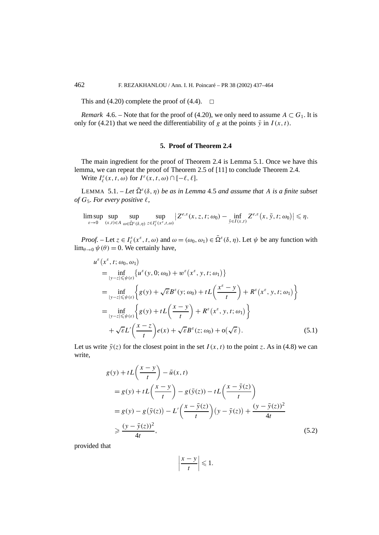This and (4.20) complete the proof of (4.4).  $\Box$ 

*Remark* 4.6. – Note that for the proof of (4.20), we only need to assume  $A \subset G_1$ . It is only for (4.21) that we need the differentiability of *g* at the points  $\bar{y}$  in  $I(x, t)$ .

#### **5. Proof of Theorem 2.4**

The main ingredient for the proof of Theorem 2.4 is Lemma 5.1. Once we have this lemma, we can repeat the proof of Theorem 2.5 of [11] to conclude Theorem 2.4.

Write  $I_{\ell}^{\varepsilon}(x, t, \omega)$  for  $I^{\varepsilon}(x, t, \omega) \cap [-\ell, \ell].$ 

LEMMA 5.1. – Let  $\overline{\Omega}^{\varepsilon}(\delta, \eta)$  be as in Lemma 4.5 and assume that A is a finite subset *of*  $G_5$ *. For every positive*  $\ell$ *,* 

lim sup *ε*→0 sup *(x,t )*∈*A* sup  $ω ∈ \bar{Ω}^ε(δ,η)$ sup  $z \in I_{\ell}^{\varepsilon}$  ( $x^{\varepsilon}$ ,*t*,ω)  $\left| Z^{e,\varepsilon}(x, z, t; \omega_0) - \inf_{\bar{y} \in I(x,t)} Z^{e,\varepsilon}(x, \bar{y}, t; \omega_0) \right| \leq \eta.$ 

*Proof.* – Let  $z \in I_{\ell}^{\varepsilon}$  ( $x^{\varepsilon}$ ,  $t$ ,  $\omega$ ) and  $\omega = (\omega_0, \omega_1) \in \overline{\Omega}^{\varepsilon}$  ( $\delta$ ,  $\eta$ ). Let  $\psi$  be any function with  $\lim_{\theta \to 0} \psi(\theta) = 0$ . We certainly have,

$$
u^{\varepsilon}\left(x^{\varepsilon}, t; \omega_{0}, \omega_{1}\right)
$$
\n
$$
= \inf_{|y-z| \leq \psi(\varepsilon)} \left\{ u^{\varepsilon}(y, 0; \omega_{0}) + w^{\varepsilon}\left(x^{\varepsilon}, y, t; \omega_{1}\right) \right\}
$$
\n
$$
= \inf_{|y-z| \leq \psi(\varepsilon)} \left\{ g(y) + \sqrt{\varepsilon} B^{\varepsilon}(y; \omega_{0}) + tL\left(\frac{x^{\varepsilon}-y}{t}\right) + R^{\varepsilon}\left(x^{\varepsilon}, y, t; \omega_{1}\right) \right\}
$$
\n
$$
= \inf_{|y-z| \leq \psi(\varepsilon)} \left\{ g(y) + tL\left(\frac{x-y}{t}\right) + R^{\varepsilon}\left(x^{\varepsilon}, y, t; \omega_{1}\right) \right\}
$$
\n
$$
+ \sqrt{\varepsilon} L'\left(\frac{x-z}{t}\right) e(x) + \sqrt{\varepsilon} B^{\varepsilon}(z; \omega_{0}) + o(\sqrt{\varepsilon}). \tag{5.1}
$$

Let us write  $\bar{y}(z)$  for the closest point in the set  $I(x, t)$  to the point z. As in (4.8) we can write,

$$
g(y) + tL\left(\frac{x-y}{t}\right) - \bar{u}(x,t)
$$
  
\n
$$
= g(y) + tL\left(\frac{x-y}{t}\right) - g(\bar{y}(z)) - tL\left(\frac{x-\bar{y}(z)}{t}\right)
$$
  
\n
$$
= g(y) - g(\bar{y}(z)) - L'\left(\frac{x-\bar{y}(z)}{t}\right)(y-\bar{y}(z)) + \frac{(y-\bar{y}(z))^2}{4t}
$$
  
\n
$$
\geq \frac{(y-\bar{y}(z))^2}{4t},
$$
\n(5.2)

provided that

$$
\left|\frac{x-y}{t}\right| \leqslant 1.
$$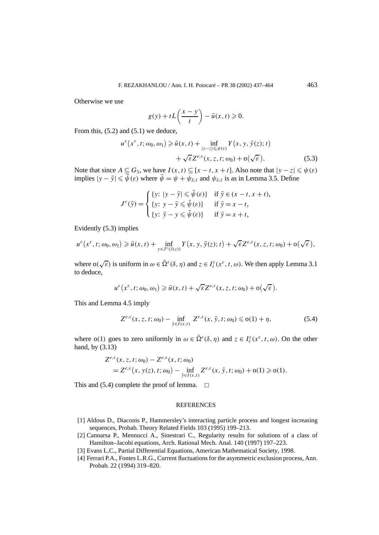Otherwise we use

$$
g(y) + tL\left(\frac{x-y}{t}\right) - \bar{u}(x,t) \geqslant 0.
$$

From this,  $(5.2)$  and  $(5.1)$  we deduce,

$$
u^{\varepsilon}(x^{\varepsilon}, t; \omega_0, \omega_1) \ge \bar{u}(x, t) + \inf_{|y-z| \le \psi(\varepsilon)} Y(x, y, \bar{y}(z); t) + \sqrt{\varepsilon} Z^{\varepsilon, \varepsilon}(x, z, t; \omega_0) + o(\sqrt{\varepsilon}).
$$
\n(5.3)

Note that since  $A \subseteq G_5$ , we have  $I(x, t) \subseteq [x - t, x + t]$ . Also note that  $|y - z| \leq \psi(\varepsilon)$ implies  $|y - \bar{y}| \le \bar{\psi}(\varepsilon)$  where  $\bar{\psi} = \psi + \psi_{\delta,\ell}$  and  $\psi_{\delta,\ell}$  is as in Lemma 3.5. Define

$$
J^{\varepsilon}(\bar{y}) = \begin{cases} \{y: |y - \bar{y}| \leq \bar{\psi}(\varepsilon)\} & \text{if } \bar{y} \in (x - t, x + t), \\ \{y: |y - \bar{y}| \leq \bar{\psi}(\varepsilon)\} & \text{if } \bar{y} = x - t, \\ \{y: |\bar{y} - y| \leq \bar{\psi}(\varepsilon)\} & \text{if } \bar{y} = x + t, \end{cases}
$$

Evidently (5.3) implies

$$
u^{\varepsilon}\big(x^{\varepsilon}, t; \omega_0, \omega_1\big) \geq \bar{u}(x, t) + \inf_{y \in J^{\varepsilon}(\bar{y}(z))} Y(x, y, \bar{y}(z); t) + \sqrt{\varepsilon} Z^{\varepsilon, \varepsilon}(x, z, t; \omega_0) + o\big(\sqrt{\varepsilon}\big),
$$

where  $o(\sqrt{\varepsilon})$  is uniform in  $\omega \in \bar{\Omega}^{\varepsilon}(\delta, \eta)$  and  $z \in I_{\ell}^{\varepsilon}(x^{\varepsilon}, t, \omega)$ . We then apply Lemma 3.1 to deduce,

$$
u^{\varepsilon}\big(x^{\varepsilon}, t; \omega_0, \omega_1\big) \geq \bar{u}(x, t) + \sqrt{\varepsilon} Z^{\varepsilon, \varepsilon}(x, z, t; \omega_0) + o\big(\sqrt{\varepsilon}\big).
$$

This and Lemma 4.5 imply

$$
Z^{e,\varepsilon}(x, z, t; \omega_0) - \inf_{\bar{y} \in I(x, t)} Z^{e,\varepsilon}(x, \bar{y}, t; \omega_0) \leq \mathfrak{o}(1) + \eta,
$$
 (5.4)

where  $o(1)$  goes to zero uniformly in  $\omega \in \overline{\Omega}^{\varepsilon}(\delta, \eta)$  and  $z \in I_{\ell}^{\varepsilon}$  ( $x^{\varepsilon}, t, \omega$ ). On the other hand, by (3.13)

$$
Z^{e,\varepsilon}(x, z, t; \omega_0) - Z^{e,\varepsilon}(x, t; \omega_0)
$$
  
=  $Z^{e,\varepsilon}(x, y(z), t; \omega_0) - \inf_{\bar{y} \in I(x, t)} Z^{e,\varepsilon}(x, \bar{y}, t; \omega_0) + o(1) \geq o(1).$ 

This and  $(5.4)$  complete the proof of lemma.  $\Box$ 

#### **REFERENCES**

- [1] Aldous D., Diaconis P., Hammersley's interacting particle process and longest increasing sequences, Probab. Theory Related Fields 103 (1995) 199–213.
- [2] Cannarsa P., Mennucci A., Sinestrari C., Regularity results for solutions of a class of Hamilton–Jacobi equations, Arch. Rational Mech. Anal. 140 (1997) 197–223.
- [3] Evans L.C., Partial Differential Equations, American Mathematical Society, 1998.
- [4] Ferrari P.A., Fontes L.R.G., Current fluctuations for the asymmetric exclusion process, Ann. Probab. 22 (1994) 319–820.